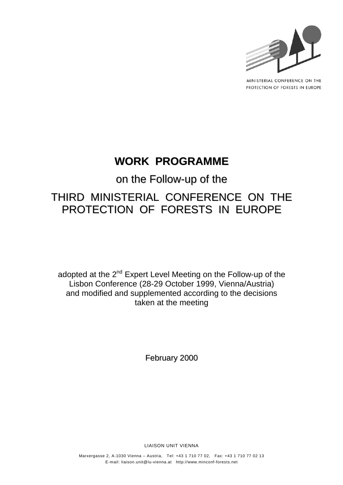

MINISTERIAL CONFERENCE ON THE PROTECTION OF FORESTS IN EUROPE

# **WORK PROGRAMME**

# on the Follow-up of the THIRD MINISTERIAL CONFERENCE ON THE PROTECTION OF FORESTS IN EUROPE

adopted at the 2<sup>nd</sup> Expert Level Meeting on the Follow-up of the Lisbon Conference (28-29 October 1999, Vienna/Austria) and modified and supplemented according to the decisions taken at the meeting

February 2000

LIAISON UNIT VIENNA

Marxergasse 2, A-1030 Vienna – Austria, Tel: +43 1 710 77 02, Fax: +43 1 710 77 02 13 E-mail: liaison.unit@lu-vienna.at http://www.minconf-forests.net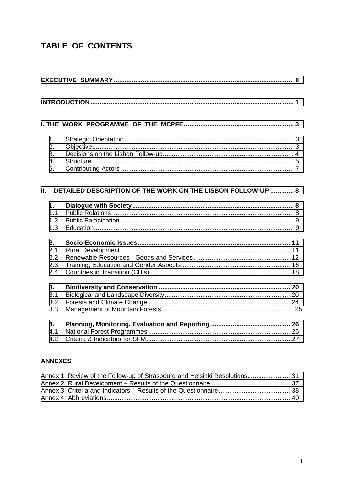# TABLE OF CONTENTS

| 1.<br>2.<br>3.<br>4.<br>5.     |                                                             |  |
|--------------------------------|-------------------------------------------------------------|--|
| П.                             | DETAILED DESCRIPTION OF THE WORK ON THE LISBON FOLLOW-UP  8 |  |
| 1.<br>1.1<br>1.2<br>1.3        |                                                             |  |
| 2.<br>2.1<br>2.2<br>2.3<br>2.4 |                                                             |  |
| 3.<br>3.1<br>3.2<br>3.3        |                                                             |  |
| 4.<br>4.1<br>4.2               |                                                             |  |

#### **ANNEXES**

| Annex 1: Review of the Follow-up of Strasbourg and Helsinki Resolutions31 |  |
|---------------------------------------------------------------------------|--|
|                                                                           |  |
|                                                                           |  |
|                                                                           |  |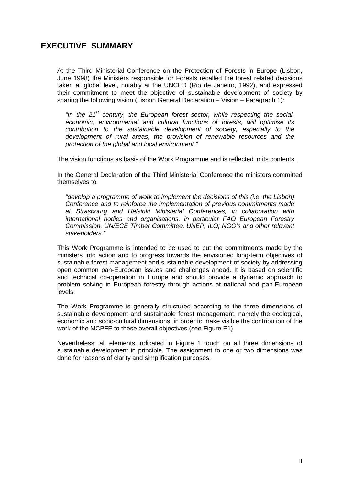## <span id="page-2-0"></span>**EXECUTIVE SUMMARY**

At the Third Ministerial Conference on the Protection of Forests in Europe (Lisbon, June 1998) the Ministers responsible for Forests recalled the forest related decisions taken at global level, notably at the UNCED (Rio de Janeiro, 1992), and expressed their commitment to meet the objective of sustainable development of society by sharing the following vision (Lisbon General Declaration – Vision – Paragraph 1):

*"In the 21st century, the European forest sector, while respecting the social, economic, environmental and cultural functions of forests, will optimise its contribution to the sustainable development of society, especially to the development of rural areas, the provision of renewable resources and the protection of the global and local environment."* 

The vision functions as basis of the Work Programme and is reflected in its contents.

In the General Declaration of the Third Ministerial Conference the ministers committed themselves to

*"develop a programme of work to implement the decisions of this (i.e. the Lisbon) Conference and to reinforce the implementation of previous commitments made at Strasbourg and Helsinki Ministerial Conferences, in collaboration with international bodies and organisations, in particular FAO European Forestry Commission, UN/ECE Timber Committee, UNEP; ILO; NGO's and other relevant stakeholders."* 

This Work Programme is intended to be used to put the commitments made by the ministers into action and to progress towards the envisioned long-term objectives of sustainable forest management and sustainable development of society by addressing open common pan-European issues and challenges ahead. It is based on scientific and technical co-operation in Europe and should provide a dynamic approach to problem solving in European forestry through actions at national and pan-European levels.

The Work Programme is generally structured according to the three dimensions of sustainable development and sustainable forest management, namely the ecological, economic and socio-cultural dimensions, in order to make visible the contribution of the work of the MCPFE to these overall objectives (see Figure E1).

Nevertheless, all elements indicated in Figure 1 touch on all three dimensions of sustainable development in principle. The assignment to one or two dimensions was done for reasons of clarity and simplification purposes.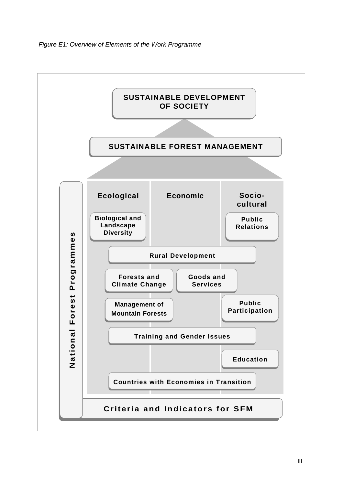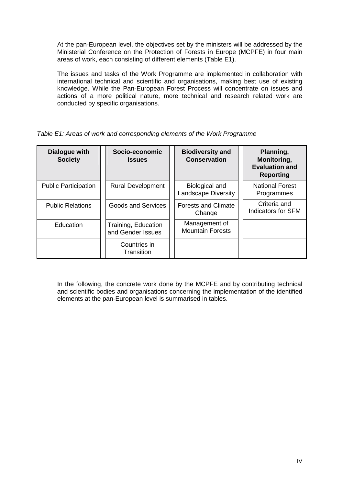At the pan-European level, the objectives set by the ministers will be addressed by the Ministerial Conference on the Protection of Forests in Europe (MCPFE) in four main areas of work, each consisting of different elements (Table E1).

The issues and tasks of the Work Programme are implemented in collaboration with international technical and scientific and organisations, making best use of existing knowledge. While the Pan-European Forest Process will concentrate on issues and actions of a more political nature, more technical and research related work are conducted by specific organisations.

*Table E1: Areas of work and corresponding elements of the Work Programme* 

| <b>Dialogue with</b><br><b>Society</b> | Socio-economic<br><b>Issues</b>          | <b>Biodiversity and</b><br><b>Conservation</b> | Planning,<br>Monitoring,<br><b>Evaluation and</b><br><b>Reporting</b> |
|----------------------------------------|------------------------------------------|------------------------------------------------|-----------------------------------------------------------------------|
| <b>Public Participation</b>            | <b>Rural Development</b>                 | Biological and<br><b>Landscape Diversity</b>   | <b>National Forest</b><br>Programmes                                  |
| <b>Public Relations</b>                | <b>Goods and Services</b>                | <b>Forests and Climate</b><br>Change           | Criteria and<br>Indicators for SFM                                    |
| Education                              | Training, Education<br>and Gender Issues | Management of<br><b>Mountain Forests</b>       |                                                                       |
|                                        | Countries in<br>Transition               |                                                |                                                                       |

In the following, the concrete work done by the MCPFE and by contributing technical and scientific bodies and organisations concerning the implementation of the identified elements at the pan-European level is summarised in tables.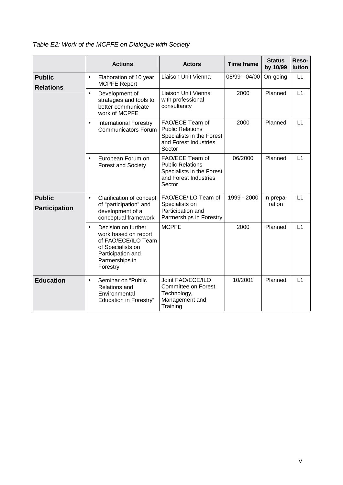*Table E2: Work of the MCPFE on Dialogue with Society* 

|                                                    |                                                                                                                                                                                                    | <b>Actions</b>                                                                                                                              | <b>Actors</b>                                                                                              | <b>Time frame</b> | <b>Status</b><br>by 10/99 | Reso-<br><b>lution</b> |
|----------------------------------------------------|----------------------------------------------------------------------------------------------------------------------------------------------------------------------------------------------------|---------------------------------------------------------------------------------------------------------------------------------------------|------------------------------------------------------------------------------------------------------------|-------------------|---------------------------|------------------------|
| <b>Public</b><br><b>Relations</b>                  | $\bullet$                                                                                                                                                                                          | Elaboration of 10 year<br><b>MCPFE Report</b>                                                                                               | Liaison Unit Vienna                                                                                        | 08/99 - 04/00     | On-going                  | L1                     |
|                                                    | $\bullet$                                                                                                                                                                                          | Development of<br>strategies and tools to<br>better communicate<br>work of MCPFE                                                            | Liaison Unit Vienna<br>with professional<br>consultancy                                                    | 2000              | Planned                   | L1                     |
|                                                    | $\bullet$                                                                                                                                                                                          | <b>International Forestry</b><br><b>Communicators Forum</b>                                                                                 | FAO/ECE Team of<br><b>Public Relations</b><br>Specialists in the Forest<br>and Forest Industries<br>Sector | 2000              | Planned                   | L1                     |
|                                                    | $\bullet$                                                                                                                                                                                          | European Forum on<br><b>Forest and Society</b>                                                                                              | FAO/ECE Team of<br><b>Public Relations</b><br>Specialists in the Forest<br>and Forest Industries<br>Sector | 06/2000           | Planned                   | L1                     |
| <b>Public</b><br>$\bullet$<br><b>Participation</b> |                                                                                                                                                                                                    | Clarification of concept<br>of "participation" and<br>development of a<br>conceptual framework                                              | FAO/ECE/ILO Team of<br>Specialists on<br>Participation and<br>Partnerships in Forestry                     | 1999 - 2000       | In prepa-<br>ration       | L1                     |
|                                                    | $\bullet$                                                                                                                                                                                          | Decision on further<br>work based on report<br>of FAO/ECE/ILO Team<br>of Specialists on<br>Participation and<br>Partnerships in<br>Forestry | <b>MCPFE</b>                                                                                               | 2000              | Planned                   | L1                     |
| <b>Education</b>                                   | Joint FAO/ECE/ILO<br>Seminar on "Public<br>$\bullet$<br>Committee on Forest<br><b>Relations and</b><br>Technology,<br>Environmental<br>Management and<br><b>Education in Forestry"</b><br>Training |                                                                                                                                             | 10/2001                                                                                                    | Planned           | L1                        |                        |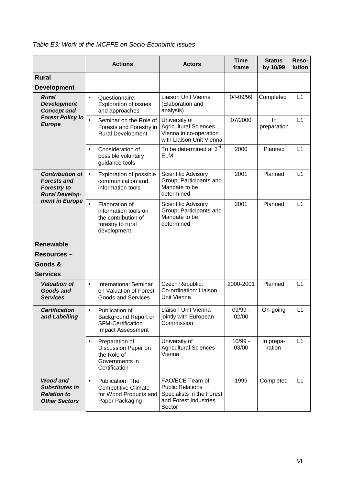| Table E3: Work of the MCPFE on Socio-Economic Issues |  |
|------------------------------------------------------|--|
|------------------------------------------------------|--|

|                                                                                             |                                                                                                                                                                                                                       | <b>Actions</b>                                                                                    | <b>Actors</b>                                                                                       | <b>Time</b><br>frame | <b>Status</b><br>by 10/99 | Reso-<br>lution |
|---------------------------------------------------------------------------------------------|-----------------------------------------------------------------------------------------------------------------------------------------------------------------------------------------------------------------------|---------------------------------------------------------------------------------------------------|-----------------------------------------------------------------------------------------------------|----------------------|---------------------------|-----------------|
| <b>Rural</b><br><b>Development</b>                                                          |                                                                                                                                                                                                                       |                                                                                                   |                                                                                                     |                      |                           |                 |
| <b>Rural</b><br><b>Development</b><br><b>Concept and</b>                                    | $\bullet$                                                                                                                                                                                                             | Questionnaire:<br><b>Exploration of issues</b><br>and approaches                                  | Liaison Unit Vienna<br>(Elaboration and<br>analysis)                                                | 04-09/99             | Completed                 | L1              |
| <b>Forest Policy in</b><br><b>Europe</b>                                                    | $\bullet$                                                                                                                                                                                                             | Seminar on the Role of<br>Forests and Forestry in<br><b>Rural Development</b>                     | University of<br><b>Agricultural Sciences</b><br>Vienna in co-operation<br>with Liaison Unit Vienna | 07/2000              | In<br>preparation         | L1              |
|                                                                                             | $\bullet$                                                                                                                                                                                                             | Consideration of<br>possible voluntary<br>guidance tools                                          | To be determined at 3 <sup>rd</sup><br><b>ELM</b>                                                   | 2000                 | Planned                   | L1              |
| <b>Contribution of</b><br><b>Forests and</b><br><b>Forestry to</b><br><b>Rural Develop-</b> | $\bullet$                                                                                                                                                                                                             | Exploration of possible<br>communication and<br>information tools                                 | Scientific Advisory<br>Group; Participants and<br>Mandate to be<br>determined                       | 2001                 | Planned                   | L1              |
| ment in Europe                                                                              | $\bullet$                                                                                                                                                                                                             | Elaboration of<br>information tools on<br>the contribution of<br>forestry to rural<br>development | Scientific Advisory<br>Group; Participants and<br>Mandate to be<br>determined                       | 2001                 | Planned                   | L1              |
| <b>Renewable</b>                                                                            |                                                                                                                                                                                                                       |                                                                                                   |                                                                                                     |                      |                           |                 |
| <b>Resources –</b>                                                                          |                                                                                                                                                                                                                       |                                                                                                   |                                                                                                     |                      |                           |                 |
| Goods &                                                                                     |                                                                                                                                                                                                                       |                                                                                                   |                                                                                                     |                      |                           |                 |
| <b>Services</b>                                                                             |                                                                                                                                                                                                                       |                                                                                                   |                                                                                                     |                      |                           |                 |
| <b>Valuation of</b><br><b>Goods and</b><br><b>Services</b>                                  | $\bullet$                                                                                                                                                                                                             | <b>International Seminar</b><br>on Valuation of Forest<br><b>Goods and Services</b>               | Czech Republic;<br>Co-ordination: Liaison<br>Unit Vienna                                            | 2000-2001            | Planned                   | L1              |
| <b>Certification</b><br>and Labelling                                                       | $\bullet$                                                                                                                                                                                                             | Publication of<br>Background Report on<br><b>SFM-Certification</b><br><b>Impact Assessment</b>    | Liaison Unit Vienna<br>jointly with European<br>Commission                                          | 09/99 -<br>02/00     | On-going                  | L1              |
|                                                                                             |                                                                                                                                                                                                                       | Preparation of<br>Discussion Paper on<br>the Role of<br>Governments in<br>Certification           | University of<br><b>Agricultural Sciences</b><br>Vienna                                             | $10/99 -$<br>03/00   | In prepa-<br>ration       | L1              |
| <b>Wood and</b><br><b>Substitutes in</b><br><b>Relation to</b><br><b>Other Sectors</b>      | FAO/ECE Team of<br>Publication: The<br>$\bullet$<br><b>Public Relations</b><br><b>Competitive Climate</b><br>Specialists in the Forest<br>for Wood Products and<br>and Forest Industries<br>Paper Packaging<br>Sector |                                                                                                   | 1999                                                                                                | Completed            | L1                        |                 |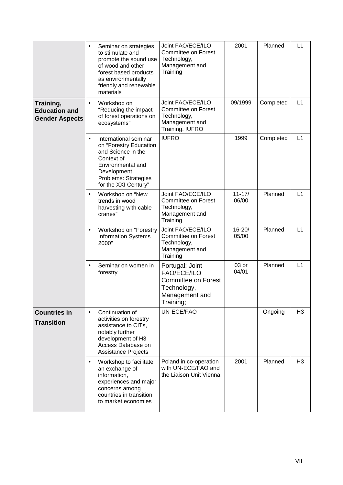| $\bullet$                                                  |           | Seminar on strategies<br>to stimulate and<br>promote the sound use<br>of wood and other<br>forest based products<br>as environmentally<br>friendly and renewable<br>materials | Joint FAO/ECE/ILO<br><b>Committee on Forest</b><br>Technology,<br>Management and<br>Training                      | 2001                | Planned   | L1             |
|------------------------------------------------------------|-----------|-------------------------------------------------------------------------------------------------------------------------------------------------------------------------------|-------------------------------------------------------------------------------------------------------------------|---------------------|-----------|----------------|
| Training,<br><b>Education and</b><br><b>Gender Aspects</b> | $\bullet$ | Workshop on<br>"Reducing the impact<br>of forest operations on<br>ecosystems"                                                                                                 | Joint FAO/ECE/ILO<br>Committee on Forest<br>Technology,<br>Management and<br>Training, IUFRO                      | 09/1999             | Completed | L1             |
|                                                            | $\bullet$ | International seminar<br>on "Forestry Education<br>and Science in the<br>Context of<br>Environmental and<br>Development<br>Problems: Strategies<br>for the XXI Century"       | <b>IUFRO</b>                                                                                                      | 1999                | Completed | L1             |
|                                                            | $\bullet$ | Workshop on "New<br>trends in wood<br>harvesting with cable<br>cranes"                                                                                                        | Joint FAO/ECE/ILO<br><b>Committee on Forest</b><br>Technology,<br>Management and<br>Training                      | $11 - 17/$<br>06/00 | Planned   | L1             |
|                                                            | $\bullet$ | Workshop on "Forestry<br><b>Information Systems</b><br>2000"                                                                                                                  | Joint FAO/ECE/ILO<br>Committee on Forest<br>Technology,<br>Management and<br>Training                             | $16 - 20/$<br>05/00 | Planned   | L1             |
|                                                            | $\bullet$ | Seminar on women in<br>forestry                                                                                                                                               | Portugal; Joint<br><b>FAO/ECE/ILO</b><br><b>Committee on Forest</b><br>Technology,<br>Management and<br>Training; | 03 or<br>04/01      | Planned   | L1             |
| <b>Countries in</b><br><b>Transition</b>                   | $\bullet$ | Continuation of<br>activities on forestry<br>assistance to CITs,<br>notably further<br>development of H3<br>Access Database on<br><b>Assistance Projects</b>                  | UN-ECE/FAO                                                                                                        |                     | Ongoing   | H <sub>3</sub> |
|                                                            | $\bullet$ | Workshop to facilitate<br>an exchange of<br>information,<br>experiences and major<br>concerns among<br>countries in transition<br>to market economies                         | Poland in co-operation<br>with UN-ECE/FAO and<br>the Liaison Unit Vienna                                          | 2001                | Planned   | H <sub>3</sub> |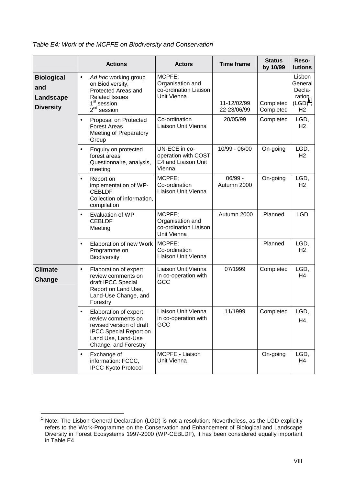|                                                           | <b>Actions</b>                                                                                                                                          | <b>Actors</b>                                                         | <b>Time frame</b>          | <b>Status</b><br>by 10/99 | Reso-<br><b>lutions</b>                                                |
|-----------------------------------------------------------|---------------------------------------------------------------------------------------------------------------------------------------------------------|-----------------------------------------------------------------------|----------------------------|---------------------------|------------------------------------------------------------------------|
| <b>Biological</b><br>and<br>Landscape<br><b>Diversity</b> | Ad hoc working group<br>$\bullet$<br>on Biodiversity,<br>Protected Areas and<br><b>Related Issues</b><br>1 <sup>st</sup> session<br>$2^{nd}$<br>session | MCPFE;<br>Organisation and<br>co-ordination Liaison<br>Unit Vienna    | 11-12/02/99<br>22-23/06/99 | Completed<br>Completed    | Lisbon<br>General<br>Decla-<br>ration<br>$(LGD)^1$ ,<br>H <sub>2</sub> |
|                                                           | Proposal on Protected<br>$\bullet$<br><b>Forest Areas</b><br><b>Meeting of Preparatory</b><br>Group                                                     | Co-ordination<br>Liaison Unit Vienna                                  | 20/05/99                   | Completed                 | LGD,<br>H <sub>2</sub>                                                 |
|                                                           | Enquiry on protected<br>$\bullet$<br>forest areas<br>Questionnaire, analysis,<br>meeting                                                                | UN-ECE in co-<br>operation with COST<br>E4 and Liaison Unit<br>Vienna | 10/99 - 06/00              | On-going                  | LGD,<br>H <sub>2</sub>                                                 |
|                                                           | Report on<br>$\bullet$<br>implementation of WP-<br><b>CEBLDF</b><br>Collection of information,<br>compilation                                           | MCPFE;<br>Co-ordination<br>Liaison Unit Vienna                        | $06/99 -$<br>Autumn 2000   | On-going                  | LGD,<br>H <sub>2</sub>                                                 |
|                                                           | Evaluation of WP-<br>$\bullet$<br><b>CEBLDF</b><br>Meeting                                                                                              | MCPFE;<br>Organisation and<br>co-ordination Liaison<br>Unit Vienna    | Autumn 2000                | Planned                   | <b>LGD</b>                                                             |
|                                                           | Elaboration of new Work<br>$\bullet$<br>Programme on<br>Biodiversity                                                                                    | MCPFE;<br>Co-ordination<br>Liaison Unit Vienna                        |                            | Planned                   | LGD,<br>H <sub>2</sub>                                                 |
| <b>Climate</b><br>Change                                  | Elaboration of expert<br>$\bullet$<br>review comments on<br>draft IPCC Special<br>Report on Land Use,<br>Land-Use Change, and<br>Forestry               | Liaison Unit Vienna<br>in co-operation with<br>GCC                    | 07/1999                    | Completed                 | LGD,<br>H <sub>4</sub>                                                 |
|                                                           | Elaboration of expert<br>review comments on<br>revised version of draft<br><b>IPCC Special Report on</b><br>Land Use, Land-Use<br>Change, and Forestry  | Liaison Unit Vienna<br>in co-operation with<br>GCC                    | 11/1999                    | Completed                 | LGD,<br>H <sub>4</sub>                                                 |
|                                                           | Exchange of<br>information: FCCC,<br>IPCC-Kyoto Protocol                                                                                                | MCPFE - Liaison<br>Unit Vienna                                        |                            | On-going                  | LGD,<br>H4                                                             |

*Table E4: Work of the MCPFE on Biodiversity and Conservation* 

 $\overline{a}$ 

<sup>1</sup> Note: The Lisbon General Declaration (LGD) is not a resolution. Nevertheless, as the LGD explicitly refers to the Work-Programme on the Conservation and Enhancement of Biological and Landscape Diversity in Forest Ecosystems 1997-2000 (WP-CEBLDF), it has been considered equally important in Table E4.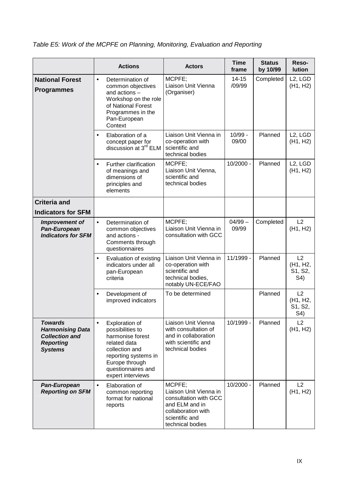|                                                                                                          | <b>Actions</b>                                                                                                                                                                             | <b>Actors</b>                                                                                                                           | <b>Time</b><br>frame | <b>Status</b><br>by 10/99 | Reso-<br>lution                                            |
|----------------------------------------------------------------------------------------------------------|--------------------------------------------------------------------------------------------------------------------------------------------------------------------------------------------|-----------------------------------------------------------------------------------------------------------------------------------------|----------------------|---------------------------|------------------------------------------------------------|
| <b>National Forest</b><br><b>Programmes</b>                                                              | Determination of<br>$\bullet$<br>common objectives<br>and actions -<br>Workshop on the role<br>of National Forest<br>Programmes in the<br>Pan-European<br>Context                          | MCPFE;<br>Liaison Unit Vienna<br>(Organiser)                                                                                            | $14 - 15$<br>/09/99  | Completed                 | L <sub>2</sub> , LGD<br>(H1, H2)                           |
|                                                                                                          | Elaboration of a<br>$\bullet$<br>concept paper for<br>discussion at 3 <sup>rd</sup> ELM                                                                                                    | Liaison Unit Vienna in<br>co-operation with<br>scientific and<br>technical bodies                                                       | $10/99 -$<br>09/00   | Planned                   | L <sub>2</sub> , L <sub>G</sub> D<br>(H1, H2)              |
|                                                                                                          | Further clarification<br>$\bullet$<br>of meanings and<br>dimensions of<br>principles and<br>elements                                                                                       | MCPFE;<br>Liaison Unit Vienna,<br>scientific and<br>technical bodies                                                                    | 10/2000 -            | Planned                   | L <sub>2</sub> , LGD<br>(H1, H2)                           |
| <b>Criteria and</b><br><b>Indicators for SFM</b>                                                         |                                                                                                                                                                                            |                                                                                                                                         |                      |                           |                                                            |
| Improvement of<br>Pan-European<br><b>Indicators for SFM</b>                                              | Determination of<br>$\bullet$<br>common objectives<br>and actions -<br>Comments through<br>questionnaires                                                                                  | MCPFE;<br>Liaison Unit Vienna in<br>consultation with GCC                                                                               | $04/99 -$<br>09/99   | Completed                 | L2<br>(H1, H2)                                             |
|                                                                                                          | Evaluation of existing<br>$\bullet$<br>indicators under all<br>pan-European<br>criteria                                                                                                    | Liaison Unit Vienna in<br>co-operation with<br>scientific and<br>technical bodies,<br>notably UN-ECE/FAO                                | 11/1999 -            | Planned                   | L2<br>(H <sub>1</sub> , H <sub>2</sub> ,<br>S1, S2,<br>S4) |
|                                                                                                          | Development of<br>$\bullet$<br>improved indicators                                                                                                                                         | To be determined                                                                                                                        |                      | Planned                   | L2<br>(H <sub>1</sub> , H <sub>2</sub> ,<br>S1, S2,<br>S4) |
| <b>Towards</b><br><b>Harmonising Data</b><br><b>Collection and</b><br><b>Reporting</b><br><b>Systems</b> | Exploration of<br>$\bullet$<br>possibilities to<br>harmonise forest<br>related data<br>collection and<br>reporting systems in<br>Europe through<br>questionnaires and<br>expert interviews | Liaison Unit Vienna<br>with consultation of<br>and in collaboration<br>with scientific and<br>technical bodies                          | 10/1999 -            | Planned                   | L2<br>(H1, H2)                                             |
| Pan-European<br><b>Reporting on SFM</b>                                                                  | Elaboration of<br>$\bullet$<br>common reporting<br>format for national<br>reports                                                                                                          | MCPFE;<br>Liaison Unit Vienna in<br>consultation with GCC<br>and ELM and in<br>collaboration with<br>scientific and<br>technical bodies | $10/2000 -$          | Planned                   | L2<br>(H1, H2)                                             |

# *Table E5: Work of the MCPFE on Planning, Monitoring, Evaluation and Reporting*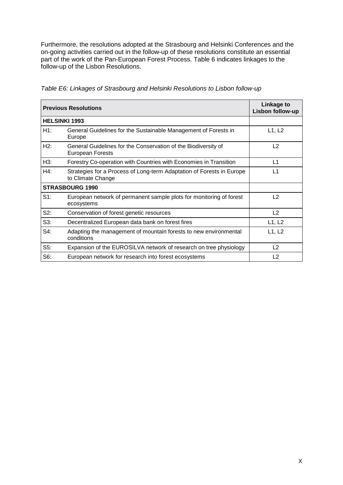Furthermore, the resolutions adopted at the Strasbourg and Helsinki Conferences and the on-going activities carried out in the follow-up of these resolutions constitute an essential part of the work of the Pan-European Forest Process. Table 6 indicates linkages to the follow-up of the Lisbon Resolutions.

|        | <b>Previous Resolutions</b>                                                                | Linkage to<br>Lisbon follow-up |
|--------|--------------------------------------------------------------------------------------------|--------------------------------|
|        | <b>HELSINKI 1993</b>                                                                       |                                |
| H1:    | General Guidelines for the Sustainable Management of Forests in<br>Europe                  | L1, L2                         |
| H2:    | General Guidelines for the Conservation of the Biodiversity of<br>European Forests         | L2                             |
| H3:    | Forestry Co-operation with Countries with Economies in Transition                          | L1                             |
| H4:    | Strategies for a Process of Long-term Adaptation of Forests in Europe<br>to Climate Change | L1                             |
|        | <b>STRASBOURG 1990</b>                                                                     |                                |
| $S1$ : | European network of permanent sample plots for monitoring of forest<br>ecosystems          | L2                             |
| S2:    | Conservation of forest genetic resources                                                   | L2                             |
| $S3$ : | Decentralized European data bank on forest fires                                           | L1, L2                         |
| S4:    | Adapting the management of mountain forests to new environmental<br>conditions             | L1, L2                         |
| $S5$ : | Expansion of the EUROSILVA network of research on tree physiology                          | L2                             |
| S6:    | European network for research into forest ecosystems                                       | L2                             |

*Table E6: Linkages of Strasbourg and Helsinki Resolutions to Lisbon follow-up*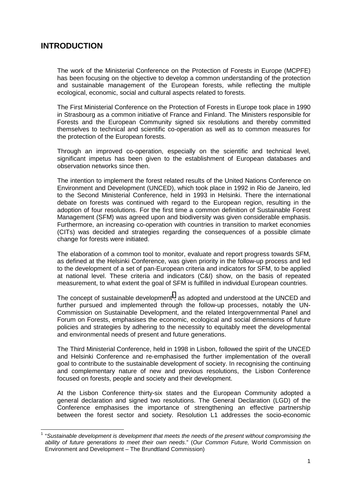# <span id="page-11-0"></span>**INTRODUCTION**

 $\overline{\phantom{a}}$ 

The work of the Ministerial Conference on the Protection of Forests in Europe (MCPFE) has been focusing on the objective to develop a common understanding of the protection and sustainable management of the European forests, while reflecting the multiple ecological, economic, social and cultural aspects related to forests.

The First Ministerial Conference on the Protection of Forests in Europe took place in 1990 in Strasbourg as a common initiative of France and Finland. The Ministers responsible for Forests and the European Community signed six resolutions and thereby committed themselves to technical and scientific co-operation as well as to common measures for the protection of the European forests.

Through an improved co-operation, especially on the scientific and technical level, significant impetus has been given to the establishment of European databases and observation networks since then.

The intention to implement the forest related results of the United Nations Conference on Environment and Development (UNCED), which took place in 1992 in Rio de Janeiro, led to the Second Ministerial Conference, held in 1993 in Helsinki. There the international debate on forests was continued with regard to the European region, resulting in the adoption of four resolutions. For the first time a common definition of Sustainable Forest Management (SFM) was agreed upon and biodiversity was given considerable emphasis. Furthermore, an increasing co-operation with countries in transition to market economies (CITs) was decided and strategies regarding the consequences of a possible climate change for forests were initiated.

The elaboration of a common tool to monitor, evaluate and report progress towards SFM, as defined at the Helsinki Conference, was given priority in the follow-up process and led to the development of a set of pan-European criteria and indicators for SFM, to be applied at national level. These criteria and indicators (C&I) show, on the basis of repeated measurement, to what extent the goal of SFM is fulfilled in individual European countries.

The concept of sustainable development<sup>1</sup>, as adopted and understood at the UNCED and further pursued and implemented through the follow-up processes, notably the UN-Commission on Sustainable Development, and the related Intergovernmental Panel and Forum on Forests, emphasises the economic, ecological and social dimensions of future policies and strategies by adhering to the necessity to equitably meet the developmental and environmental needs of present and future generations.

The Third Ministerial Conference, held in 1998 in Lisbon, followed the spirit of the UNCED and Helsinki Conference and re-emphasised the further implementation of the overall goal to contribute to the sustainable development of society. In recognising the continuing and complementary nature of new and previous resolutions, the Lisbon Conference focused on forests, people and society and their development.

At the Lisbon Conference thirty-six states and the European Community adopted a general declaration and signed two resolutions. The General Declaration (LGD) of the Conference emphasises the importance of strengthening an effective partnership between the forest sector and society. Resolution L1 addresses the socio-economic

<sup>1</sup> "*Sustainable development is development that meets the needs of the present without compromising the ability of future generations to meet their own needs*." (*Our Common Future,* World Commission on Environment and Development – The Brundtland Commission)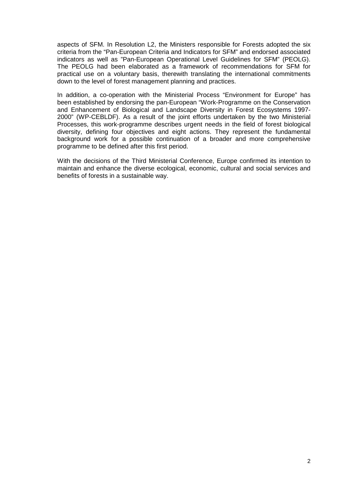aspects of SFM. In Resolution L2, the Ministers responsible for Forests adopted the six criteria from the "Pan-European Criteria and Indicators for SFM" and endorsed associated indicators as well as "Pan-European Operational Level Guidelines for SFM" (PEOLG). The PEOLG had been elaborated as a framework of recommendations for SFM for practical use on a voluntary basis, therewith translating the international commitments down to the level of forest management planning and practices.

In addition, a co-operation with the Ministerial Process "Environment for Europe" has been established by endorsing the pan-European "Work-Programme on the Conservation and Enhancement of Biological and Landscape Diversity in Forest Ecosystems 1997- 2000" (WP-CEBLDF). As a result of the joint efforts undertaken by the two Ministerial Processes, this work-programme describes urgent needs in the field of forest biological diversity, defining four objectives and eight actions. They represent the fundamental background work for a possible continuation of a broader and more comprehensive programme to be defined after this first period.

With the decisions of the Third Ministerial Conference, Europe confirmed its intention to maintain and enhance the diverse ecological, economic, cultural and social services and benefits of forests in a sustainable way.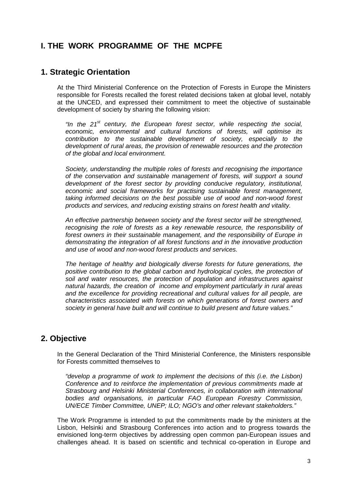# <span id="page-13-0"></span>**I. THE WORK PROGRAMME OF THE MCPFE**

### **1. Strategic Orientation**

At the Third Ministerial Conference on the Protection of Forests in Europe the Ministers responsible for Forests recalled the forest related decisions taken at global level, notably at the UNCED, and expressed their commitment to meet the objective of sustainable development of society by sharing the following vision:

*"In the 21st century, the European forest sector, while respecting the social, economic, environmental and cultural functions of forests, will optimise its contribution to the sustainable development of society, especially to the development of rural areas, the provision of renewable resources and the protection of the global and local environment.* 

*Society, understanding the multiple roles of forests and recognising the importance of the conservation and sustainable management of forests, will support a sound development of the forest sector by providing conducive regulatory, institutional, economic and social frameworks for practising sustainable forest management, taking informed decisions on the best possible use of wood and non-wood forest products and services, and reducing existing strains on forest health and vitality.* 

*An effective partnership between society and the forest sector will be strengthened, recognising the role of forests as a key renewable resource, the responsibility of forest owners in their sustainable management, and the responsibility of Europe in demonstrating the integration of all forest functions and in the innovative production and use of wood and non-wood forest products and services.* 

*The heritage of healthy and biologically diverse forests for future generations, the positive contribution to the global carbon and hydrological cycles, the protection of soil and water resources, the protection of population and infrastructures against natural hazards, the creation of income and employment particularly in rural areas and the excellence for providing recreational and cultural values for all people, are characteristics associated with forests on which generations of forest owners and society in general have built and will continue to build present and future values."* 

### **2. Objective**

In the General Declaration of the Third Ministerial Conference, the Ministers responsible for Forests committed themselves to

*"develop a programme of work to implement the decisions of this (i.e. the Lisbon) Conference and to reinforce the implementation of previous commitments made at Strasbourg and Helsinki Ministerial Conferences, in collaboration with international bodies and organisations, in particular FAO European Forestry Commission, UN/ECE Timber Committee, UNEP; ILO; NGO's and other relevant stakeholders."* 

The Work Programme is intended to put the commitments made by the ministers at the Lisbon, Helsinki and Strasbourg Conferences into action and to progress towards the envisioned long-term objectives by addressing open common pan-European issues and challenges ahead. It is based on scientific and technical co-operation in Europe and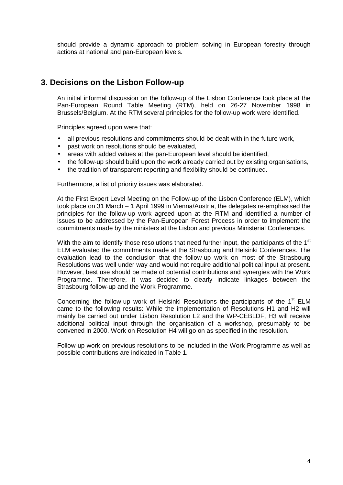<span id="page-14-0"></span>should provide a dynamic approach to problem solving in European forestry through actions at national and pan-European levels.

## **3. Decisions on the Lisbon Follow-up**

An initial informal discussion on the follow-up of the Lisbon Conference took place at the Pan-European Round Table Meeting (RTM), held on 26-27 November 1998 in Brussels/Belgium. At the RTM several principles for the follow-up work were identified.

Principles agreed upon were that:

- all previous resolutions and commitments should be dealt with in the future work,
- past work on resolutions should be evaluated,
- areas with added values at the pan-European level should be identified,
- the follow-up should build upon the work already carried out by existing organisations,
- the tradition of transparent reporting and flexibility should be continued.

Furthermore, a list of priority issues was elaborated.

At the First Expert Level Meeting on the Follow-up of the Lisbon Conference (ELM), which took place on 31 March – 1 April 1999 in Vienna/Austria, the delegates re-emphasised the principles for the follow-up work agreed upon at the RTM and identified a number of issues to be addressed by the Pan-European Forest Process in order to implement the commitments made by the ministers at the Lisbon and previous Ministerial Conferences.

With the aim to identify those resolutions that need further input, the participants of the 1<sup>st</sup> ELM evaluated the commitments made at the Strasbourg and Helsinki Conferences. The evaluation lead to the conclusion that the follow-up work on most of the Strasbourg Resolutions was well under way and would not require additional political input at present. However, best use should be made of potential contributions and synergies with the Work Programme. Therefore, it was decided to clearly indicate linkages between the Strasbourg follow-up and the Work Programme.

Concerning the follow-up work of Helsinki Resolutions the participants of the  $1<sup>st</sup>$  ELM came to the following results: While the implementation of Resolutions H1 and H2 will mainly be carried out under Lisbon Resolution L2 and the WP-CEBLDF, H3 will receive additional political input through the organisation of a workshop, presumably to be convened in 2000. Work on Resolution H4 will go on as specified in the resolution.

Follow-up work on previous resolutions to be included in the Work Programme as well as possible contributions are indicated in Table 1*.*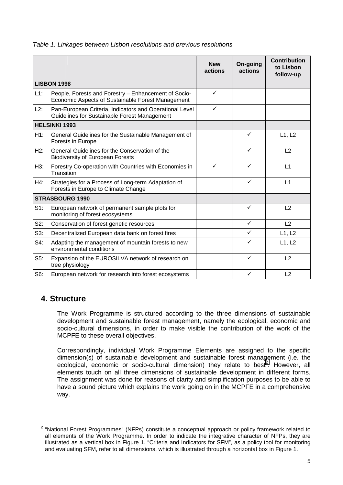|        |                                                                                                           | <b>New</b><br>actions | On-going<br>actions | <b>Contribution</b><br>to Lisbon<br>follow-up |
|--------|-----------------------------------------------------------------------------------------------------------|-----------------------|---------------------|-----------------------------------------------|
|        | <b>LISBON 1998</b>                                                                                        |                       |                     |                                               |
| L1:    | People, Forests and Forestry - Enhancement of Socio-<br>Economic Aspects of Sustainable Forest Management | ✓                     |                     |                                               |
| L2:    | Pan-European Criteria, Indicators and Operational Level<br>Guidelines for Sustainable Forest Management   | $\checkmark$          |                     |                                               |
|        | <b>HELSINKI 1993</b>                                                                                      |                       |                     |                                               |
| H1:    | General Guidelines for the Sustainable Management of<br>Forests in Europe                                 |                       | $\checkmark$        | L1, L2                                        |
| H2:    | General Guidelines for the Conservation of the<br><b>Biodiversity of European Forests</b>                 |                       | $\checkmark$        | L <sub>2</sub>                                |
| H3:    | Forestry Co-operation with Countries with Economies in<br>Transition                                      | $\checkmark$          | ✓                   | L1                                            |
| H4:    | Strategies for a Process of Long-term Adaptation of<br>Forests in Europe to Climate Change                |                       | $\checkmark$        | L1                                            |
|        | <b>STRASBOURG 1990</b>                                                                                    |                       |                     |                                               |
| $S1$ : | European network of permanent sample plots for<br>monitoring of forest ecosystems                         |                       | $\checkmark$        | L2                                            |
| S2:    | Conservation of forest genetic resources                                                                  |                       | $\checkmark$        | L2                                            |
| S3:    | Decentralized European data bank on forest fires                                                          |                       | ✓                   | L1, L2                                        |
| S4:    | Adapting the management of mountain forests to new<br>environmental conditions                            |                       | ✓                   | L1, L2                                        |
| $S5$ : | Expansion of the EUROSILVA network of research on<br>tree physiology                                      |                       | $\checkmark$        | L2                                            |
| S6:    | European network for research into forest ecosystems                                                      |                       | ✓                   | L <sub>2</sub>                                |

#### <span id="page-15-0"></span>*Table 1: Linkages between Lisbon resolutions and previous resolutions*

# **4. Structure**

The Work Programme is structured according to the three dimensions of sustainable development and sustainable forest management, namely the ecological, economic and socio-cultural dimensions, in order to make visible the contribution of the work of the MCPFE to these overall objectives.

Correspondingly, individual Work Programme Elements are assigned to the specific dimension(s) of sustainable development and sustainable forest management (i.e. the ecological, economic or socio-cultural dimension) they relate to best<sup>2</sup>. However, all elements touch on all three dimensions of sustainable development in different forms. The assignment was done for reasons of clarity and simplification purposes to be able to have a sound picture which explains the work going on in the MCPFE in a comprehensive way.

 $\frac{1}{2}$  "National Forest Programmes" (NFPs) constitute a conceptual approach or policy framework related to all elements of the Work Programme. In order to indicate the integrative character of NFPs, they are illustrated as a vertical box in Figure 1. "Criteria and Indicators for SFM", as a policy tool for monitoring and evaluating SFM, refer to all dimensions, which is illustrated through a horizontal box in Figure 1.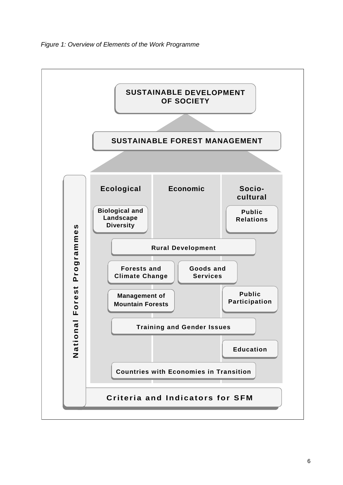

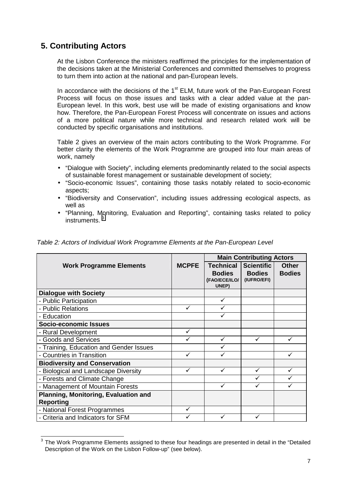# <span id="page-17-0"></span>**5. Contributing Actors**

At the Lisbon Conference the ministers reaffirmed the principles for the implementation of the decisions taken at the Ministerial Conferences and committed themselves to progress to turn them into action at the national and pan-European levels.

In accordance with the decisions of the  $1<sup>st</sup>$  ELM, future work of the Pan-European Forest Process will focus on those issues and tasks with a clear added value at the pan-European level. In this work, best use will be made of existing organisations and know how. Therefore, the Pan-European Forest Process will concentrate on issues and actions of a more political nature while more technical and research related work will be conducted by specific organisations and institutions.

Table 2 gives an overview of the main actors contributing to the Work Programme. For better clarity the elements of the Work Programme are grouped into four main areas of work, namely

- "Dialogue with Society", including elements predominantly related to the social aspects of sustainable forest management or sustainable development of society;
- "Socio-economic Issues", containing those tasks notably related to socio-economic aspects;
- "Biodiversity and Conservation", including issues addressing ecological aspects, as well as
- "Planning, Monitoring, Evaluation and Reporting", containing tasks related to policy instruments.

**Table 2: Actors of Individual Work Programme Elements at the Pan-European Level** 

|                                         |              | <b>Main Contributing Actors</b>                             |                                                   |                               |
|-----------------------------------------|--------------|-------------------------------------------------------------|---------------------------------------------------|-------------------------------|
| <b>Work Programme Elements</b>          | <b>MCPFE</b> | <b>Technical</b><br><b>Bodies</b><br>(FAO/ECE/ILO/<br>UNEP) | <b>Scientific</b><br><b>Bodies</b><br>(IUFRO/EFI) | <b>Other</b><br><b>Bodies</b> |
| <b>Dialogue with Society</b>            |              |                                                             |                                                   |                               |
| - Public Participation                  |              |                                                             |                                                   |                               |
| - Public Relations                      |              |                                                             |                                                   |                               |
| - Education                             |              |                                                             |                                                   |                               |
| Socio-economic Issues                   |              |                                                             |                                                   |                               |
| - Rural Development                     | ✓            |                                                             |                                                   |                               |
| - Goods and Services                    |              | ✓                                                           |                                                   |                               |
| - Training, Education and Gender Issues |              |                                                             |                                                   |                               |
| - Countries in Transition               |              |                                                             |                                                   |                               |
| <b>Biodiversity and Conservation</b>    |              |                                                             |                                                   |                               |
| - Biological and Landscape Diversity    | ✓            | ✓                                                           |                                                   | ✓                             |
| - Forests and Climate Change            |              |                                                             |                                                   |                               |
| - Management of Mountain Forests        |              | ✓                                                           |                                                   |                               |
| Planning, Monitoring, Evaluation and    |              |                                                             |                                                   |                               |
| <b>Reporting</b>                        |              |                                                             |                                                   |                               |
| - National Forest Programmes            |              |                                                             |                                                   |                               |
| - Criteria and Indicators for SFM       |              |                                                             |                                                   |                               |

<sup>————————————————————&</sup>lt;br><sup>3</sup> The Work Programme Elements assigned to these four headings are presented in detail in the "Detailed Description of the Work on the Lisbon Follow-up" (see below).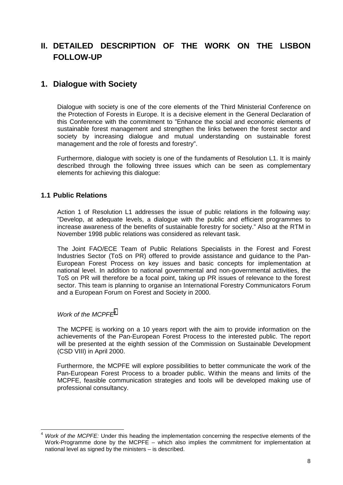# <span id="page-18-0"></span>**II. DETAILED DESCRIPTION OF THE WORK ON THE LISBON FOLLOW-UP**

# **1. Dialogue with Society**

Dialogue with society is one of the core elements of the Third Ministerial Conference on the Protection of Forests in Europe. It is a decisive element in the General Declaration of this Conference with the commitment to "Enhance the social and economic elements of sustainable forest management and strengthen the links between the forest sector and society by increasing dialogue and mutual understanding on sustainable forest management and the role of forests and forestry".

Furthermore, dialogue with society is one of the fundaments of Resolution L1. It is mainly described through the following three issues which can be seen as complementary elements for achieving this dialogue:

#### **1.1 Public Relations**

Action 1 of Resolution L1 addresses the issue of public relations in the following way: "Develop, at adequate levels, a dialogue with the public and efficient programmes to increase awareness of the benefits of sustainable forestry for society." Also at the RTM in November 1998 public relations was considered as relevant task.

The Joint FAO/ECE Team of Public Relations Specialists in the Forest and Forest Industries Sector (ToS on PR) offered to provide assistance and guidance to the Pan-European Forest Process on key issues and basic concepts for implementation at national level. In addition to national governmental and non-governmental activities, the ToS on PR will therefore be a focal point, taking up PR issues of relevance to the forest sector. This team is planning to organise an International Forestry Communicators Forum and a European Forum on Forest and Society in 2000.

#### *Work of the MCPFE4*

The MCPFE is working on a 10 years report with the aim to provide information on the achievements of the Pan-European Forest Process to the interested public. The report will be presented at the eighth session of the Commission on Sustainable Development (CSD VIII) in April 2000.

Furthermore, the MCPFE will explore possibilities to better communicate the work of the Pan-European Forest Process to a broader public. Within the means and limits of the MCPFE, feasible communication strategies and tools will be developed making use of professional consultancy.

 $\overline{\phantom{a}}$ <sup>4</sup> *Work of the MCPFE:* Under this heading the implementation concerning the respective elements of the Work-Programme done by the MCPFE – which also implies the commitment for implementation at national level as signed by the ministers – is described.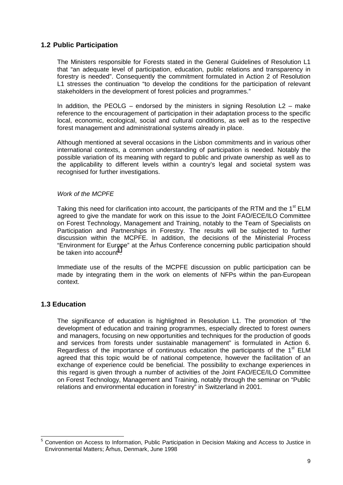#### <span id="page-19-0"></span>**1.2 Public Participation**

The Ministers responsible for Forests stated in the General Guidelines of Resolution L1 that "an adequate level of participation, education, public relations and transparency in forestry is needed". Consequently the commitment formulated in Action 2 of Resolution L1 stresses the continuation "to develop the conditions for the participation of relevant stakeholders in the development of forest policies and programmes."

In addition, the PEOLG – endorsed by the ministers in signing Resolution  $L2$  – make reference to the encouragement of participation in their adaptation process to the specific local, economic, ecological, social and cultural conditions, as well as to the respective forest management and administrational systems already in place.

Although mentioned at several occasions in the Lisbon commitments and in various other international contexts, a common understanding of participation is needed. Notably the possible variation of its meaning with regard to public and private ownership as well as to the applicability to different levels within a country's legal and societal system was recognised for further investigations.

#### *Work of the MCPFE*

Taking this need for clarification into account, the participants of the RTM and the  $1<sup>st</sup>$  ELM agreed to give the mandate for work on this issue to the Joint FAO/ECE/ILO Committee on Forest Technology, Management and Training, notably to the Team of Specialists on Participation and Partnerships in Forestry. The results will be subjected to further discussion within the MCPFE. In addition, the decisions of the Ministerial Process "Environment for Europe" at the Århus Conference concerning public participation should be taken into account<sup>5</sup>.

Immediate use of the results of the MCPFE discussion on public participation can be made by integrating them in the work on elements of NFPs within the pan-European context.

### **1.3 Education**

The significance of education is highlighted in Resolution L1. The promotion of "the development of education and training programmes, especially directed to forest owners and managers, focusing on new opportunities and techniques for the production of goods and services from forests under sustainable management" is formulated in Action 6. Regardless of the importance of continuous education the participants of the  $1<sup>st</sup>$  ELM agreed that this topic would be of national competence, however the facilitation of an exchange of experience could be beneficial. The possibility to exchange experiences in this regard is given through a number of activities of the Joint FAO/ECE/ILO Committee on Forest Technology, Management and Training, notably through the seminar on "Public relations and environmental education in forestry" in Switzerland in 2001.

**ENECONCO CONCORDED**<br><sup>5</sup> Convention on Access to Information, Public Participation in Decision Making and Access to Justice in Environmental Matters; Århus, Denmark, June 1998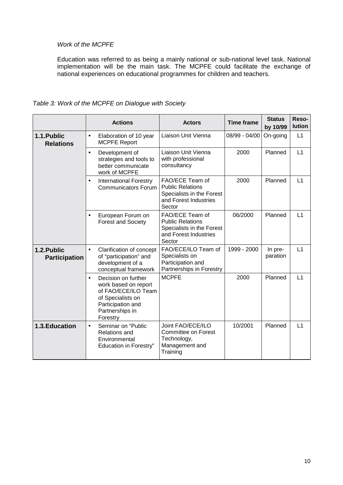#### *Work of the MCPFE*

Education was referred to as being a mainly national or sub-national level task. National implementation will be the main task. The MCPFE could facilitate the exchange of national experiences on educational programmes for children and teachers.

|                                     |           | <b>Actions</b>                                                                                                                              | <b>Actors</b>                                                                                              | <b>Time frame</b> | <b>Status</b><br>by 10/99 | Reso-<br><b>lution</b> |
|-------------------------------------|-----------|---------------------------------------------------------------------------------------------------------------------------------------------|------------------------------------------------------------------------------------------------------------|-------------------|---------------------------|------------------------|
| 1.1. Public<br><b>Relations</b>     | $\bullet$ | Elaboration of 10 year<br><b>MCPFE Report</b>                                                                                               | Liaison Unit Vienna                                                                                        | 08/99 - 04/00     | On-going                  | L1                     |
|                                     | $\bullet$ | Development of<br>strategies and tools to<br>better communicate<br>work of MCPFE                                                            | Liaison Unit Vienna<br>with professional<br>consultancy                                                    | 2000              | Planned                   | L1                     |
|                                     | $\bullet$ | <b>International Forestry</b><br><b>Communicators Forum</b>                                                                                 | FAO/ECE Team of<br><b>Public Relations</b><br>Specialists in the Forest<br>and Forest Industries<br>Sector | 2000              | Planned                   | L1                     |
|                                     |           | European Forum on<br><b>Forest and Society</b>                                                                                              | FAO/ECE Team of<br><b>Public Relations</b><br>Specialists in the Forest<br>and Forest Industries<br>Sector | 06/2000           | Planned                   | L1                     |
| 1.2. Public<br><b>Participation</b> | $\bullet$ | Clarification of concept<br>of "participation" and<br>development of a<br>conceptual framework                                              | FAO/ECE/ILO Team of<br>Specialists on<br>Participation and<br>Partnerships in Forestry                     | 1999 - 2000       | In pre-<br>paration       | L1                     |
|                                     | $\bullet$ | Decision on further<br>work based on report<br>of FAO/ECE/ILO Team<br>of Specialists on<br>Participation and<br>Partnerships in<br>Forestry | <b>MCPFE</b>                                                                                               | 2000              | Planned                   | L1                     |
| 1.3. Education                      | $\bullet$ | Seminar on "Public<br><b>Relations and</b><br>Environmental<br><b>Education in Forestry"</b>                                                | Joint FAO/ECE/ILO<br><b>Committee on Forest</b><br>Technology,<br>Management and<br>Training               | 10/2001           | Planned                   | L1                     |

*Table 3: Work of the MCPFE on Dialogue with Society*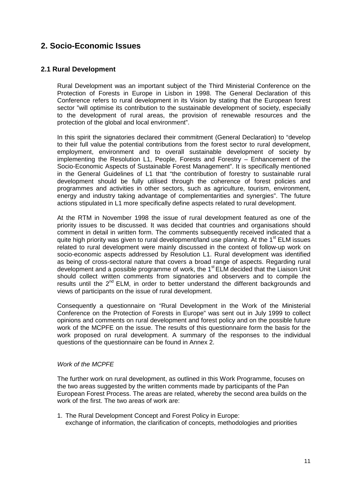# <span id="page-21-0"></span>**2. Socio-Economic Issues**

#### **2.1 Rural Development**

Rural Development was an important subject of the Third Ministerial Conference on the Protection of Forests in Europe in Lisbon in 1998. The General Declaration of this Conference refers to rural development in its Vision by stating that the European forest sector "will optimise its contribution to the sustainable development of society, especially to the development of rural areas, the provision of renewable resources and the protection of the global and local environment".

In this spirit the signatories declared their commitment (General Declaration) to "develop to their full value the potential contributions from the forest sector to rural development, employment, environment and to overall sustainable development of society by implementing the Resolution L1, People, Forests and Forestry – Enhancement of the Socio-Economic Aspects of Sustainable Forest Management". It is specifically mentioned in the General Guidelines of L1 that "the contribution of forestry to sustainable rural development should be fully utilised through the coherence of forest policies and programmes and activities in other sectors, such as agriculture, tourism, environment, energy and industry taking advantage of complementarities and synergies". The future actions stipulated in L1 more specifically define aspects related to rural development.

At the RTM in November 1998 the issue of rural development featured as one of the priority issues to be discussed. It was decided that countries and organisations should comment in detail in written form. The comments subsequently received indicated that a quite high priority was given to rural development/land use planning. At the 1<sup>st</sup> ELM issues related to rural development were mainly discussed in the context of follow-up work on socio-economic aspects addressed by Resolution L1. Rural development was identified as being of cross-sectoral nature that covers a broad range of aspects. Regarding rural development and a possible programme of work, the 1<sup>st</sup> ELM decided that the Liaison Unit should collect written comments from signatories and observers and to compile the results until the  $2<sup>nd</sup>$  ELM, in order to better understand the different backgrounds and views of participants on the issue of rural development.

Consequently a questionnaire on "Rural Development in the Work of the Ministerial Conference on the Protection of Forests in Europe" was sent out in July 1999 to collect opinions and comments on rural development and forest policy and on the possible future work of the MCPFE on the issue. The results of this questionnaire form the basis for the work proposed on rural development. A summary of the responses to the individual questions of the questionnaire can be found in Annex 2.

#### *Work of the MCPFE*

The further work on rural development, as outlined in this Work Programme, focuses on the two areas suggested by the written comments made by participants of the Pan European Forest Process. The areas are related, whereby the second area builds on the work of the first. The two areas of work are:

1. The Rural Development Concept and Forest Policy in Europe: exchange of information, the clarification of concepts, methodologies and priorities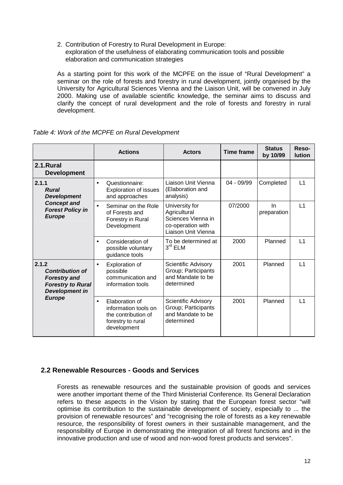<span id="page-22-0"></span>2. Contribution of Forestry to Rural Development in Europe: exploration of the usefulness of elaborating communication tools and possible elaboration and communication strategies

As a starting point for this work of the MCPFE on the issue of "Rural Development" a seminar on the role of forests and forestry in rural development, jointly organised by the University for Agricultural Sciences Vienna and the Liaison Unit, will be convened in July 2000. Making use of available scientific knowledge, the seminar aims to discuss and clarify the concept of rural development and the role of forests and forestry in rural development.

|                                                                                                             | <b>Actions</b>                                                                                                 | <b>Actors</b>                                                                                    | <b>Time frame</b> | <b>Status</b><br>by 10/99 | Reso-<br><b>lution</b> |
|-------------------------------------------------------------------------------------------------------------|----------------------------------------------------------------------------------------------------------------|--------------------------------------------------------------------------------------------------|-------------------|---------------------------|------------------------|
| 2.1.Rural<br><b>Development</b>                                                                             |                                                                                                                |                                                                                                  |                   |                           |                        |
| 2.1.1<br><b>Rural</b><br><b>Development</b>                                                                 | Questionnaire:<br>$\bullet$<br><b>Exploration of issues</b><br>and approaches                                  | Liaison Unit Vienna<br>(Elaboration and<br>analysis)                                             | 04 - 09/99        | Completed                 | L1                     |
| <b>Concept and</b><br><b>Forest Policy in</b><br><b>Europe</b>                                              | Seminar on the Role<br>of Forests and<br>Forestry in Rural<br>Development                                      | University for<br>Agricultural<br>Sciences Vienna in<br>co-operation with<br>Liaison Unit Vienna | 07/2000           | <b>In</b><br>preparation  | L1                     |
|                                                                                                             | Consideration of<br>$\bullet$<br>possible voluntary<br>guidance tools                                          | To be determined at<br>$3rd$ ELM                                                                 | 2000              | Planned                   | L1                     |
| 2.1.2<br><b>Contribution of</b><br><b>Forestry and</b><br><b>Forestry to Rural</b><br><b>Development in</b> | <b>Exploration of</b><br>$\bullet$<br>possible<br>communication and<br>information tools                       | Scientific Advisory<br>Group; Participants<br>and Mandate to be<br>determined                    | 2001              | Planned                   | L <sub>1</sub>         |
| <b>Europe</b>                                                                                               | Elaboration of<br>$\bullet$<br>information tools on<br>the contribution of<br>forestry to rural<br>development | Scientific Advisory<br>Group; Participants<br>and Mandate to be<br>determined                    | 2001              | Planned                   | $\vert$ 1              |

*Table 4: Work of the MCPFE on Rural Development* 

#### **2.2 Renewable Resources - Goods and Services**

Forests as renewable resources and the sustainable provision of goods and services were another important theme of the Third Ministerial Conference. Its General Declaration refers to these aspects in the Vision by stating that the European forest sector "will optimise its contribution to the sustainable development of society, especially to ... the provision of renewable resources" and "recognising the role of forests as a key renewable resource, the responsibility of forest owners in their sustainable management, and the responsibility of Europe in demonstrating the integration of all forest functions and in the innovative production and use of wood and non-wood forest products and services".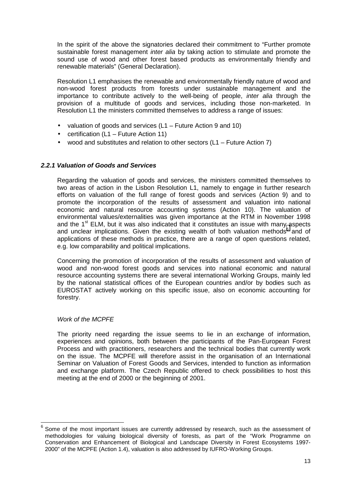In the spirit of the above the signatories declared their commitment to "Further promote sustainable forest management *inter alia* by taking action to stimulate and promote the sound use of wood and other forest based products as environmentally friendly and renewable materials" (General Declaration).

Resolution L1 emphasises the renewable and environmentally friendly nature of wood and non-wood forest products from forests under sustainable management and the importance to contribute actively to the well-being of people, *inter alia* through the provision of a multitude of goods and services, including those non-marketed. In Resolution L1 the ministers committed themselves to address a range of issues:

- valuation of goods and services (L1 Future Action 9 and 10)
- certification (L1 Future Action 11)
- wood and substitutes and relation to other sectors  $(L1 -$  Future Action 7)

#### *2.2.1 Valuation of Goods and Services*

Regarding the valuation of goods and services, the ministers committed themselves to two areas of action in the Lisbon Resolution L1, namely to engage in further research efforts on valuation of the full range of forest goods and services (Action 9) and to promote the incorporation of the results of assessment and valuation into national economic and natural resource accounting systems (Action 10). The valuation of environmental values/externalities was given importance at the RTM in November 1998 and the  $1<sup>st</sup>$  ELM, but it was also indicated that it constitutes an issue with many aspects and unclear implications. Given the existing wealth of both valuation methods $6$  and of applications of these methods in practice, there are a range of open questions related, e.g. low comparability and political implications.

Concerning the promotion of incorporation of the results of assessment and valuation of wood and non-wood forest goods and services into national economic and natural resource accounting systems there are several international Working Groups, mainly led by the national statistical offices of the European countries and/or by bodies such as EUROSTAT actively working on this specific issue, also on economic accounting for forestry.

#### *Work of the MCPFE*

The priority need regarding the issue seems to lie in an exchange of information, experiences and opinions, both between the participants of the Pan-European Forest Process and with practitioners, researchers and the technical bodies that currently work on the issue. The MCPFE will therefore assist in the organisation of an International Seminar on Valuation of Forest Goods and Services, intended to function as information and exchange platform. The Czech Republic offered to check possibilities to host this meeting at the end of 2000 or the beginning of 2001.

Some of the most important issues are currently addressed by research, such as the assessment of methodologies for valuing biological diversity of forests, as part of the "Work Programme on Conservation and Enhancement of Biological and Landscape Diversity in Forest Ecosystems 1997- 2000" of the MCPFE (Action 1.4), valuation is also addressed by IUFRO-Working Groups.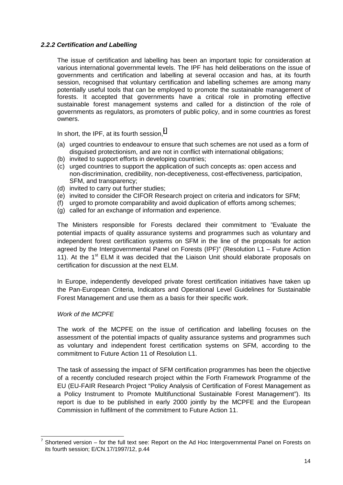#### *2.2.2 Certification and Labelling*

The issue of certification and labelling has been an important topic for consideration at various international governmental levels. The IPF has held deliberations on the issue of governments and certification and labelling at several occasion and has, at its fourth session, recognised that voluntary certification and labelling schemes are among many potentially useful tools that can be employed to promote the sustainable management of forests. It accepted that governments have a critical role in promoting effective sustainable forest management systems and called for a distinction of the role of governments as regulators, as promoters of public policy, and in some countries as forest owners.

In short, the IPF, at its fourth session, $<sup>7</sup>$ </sup>

- (a) urged countries to endeavour to ensure that such schemes are not used as a form of disguised protectionism, and are not in conflict with international obligations;
- (b) invited to support efforts in developing countries;
- (c) urged countries to support the application of such concepts as: open access and non-discrimination, credibility, non-deceptiveness, cost-effectiveness, participation, SFM, and transparency;
- (d) invited to carry out further studies;
- (e) invited to consider the CIFOR Research project on criteria and indicators for SFM;
- (f) urged to promote comparability and avoid duplication of efforts among schemes;
- (g) called for an exchange of information and experience.

The Ministers responsible for Forests declared their commitment to "Evaluate the potential impacts of quality assurance systems and programmes such as voluntary and independent forest certification systems on SFM in the line of the proposals for action agreed by the Intergovernmental Panel on Forests (IPF)" (Resolution L1 – Future Action 11). At the  $1<sup>st</sup>$  ELM it was decided that the Liaison Unit should elaborate proposals on certification for discussion at the next ELM.

In Europe, independently developed private forest certification initiatives have taken up the Pan-European Criteria, Indicators and Operational Level Guidelines for Sustainable Forest Management and use them as a basis for their specific work.

#### *Work of the MCPFE*

 $\overline{a}$ 

The work of the MCPFE on the issue of certification and labelling focuses on the assessment of the potential impacts of quality assurance systems and programmes such as voluntary and independent forest certification systems on SFM, according to the commitment to Future Action 11 of Resolution L1.

The task of assessing the impact of SFM certification programmes has been the objective of a recently concluded research project within the Forth Framework Programme of the EU (EU-FAIR Research Project "Policy Analysis of Certification of Forest Management as a Policy Instrument to Promote Multifunctional Sustainable Forest Management"). Its report is due to be published in early 2000 jointly by the MCPFE and the European Commission in fulfilment of the commitment to Future Action 11.

<sup>7</sup> Shortened version – for the full text see: Report on the Ad Hoc Intergovernmental Panel on Forests on its fourth session; E/CN.17/1997/12, p.44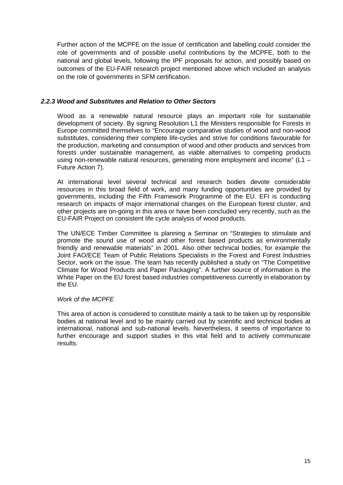Further action of the MCPFE on the issue of certification and labelling could consider the role of governments and of possible useful contributions by the MCPFE, both to the national and global levels, following the IPF proposals for action, and possibly based on outcomes of the EU-FAIR research project mentioned above which included an analysis on the role of governments in SFM certification.

#### *2.2.3 Wood and Substitutes and Relation to Other Sectors*

Wood as a renewable natural resource plays an important role for sustainable development of society. By signing Resolution L1 the Ministers responsible for Forests in Europe committed themselves to "Encourage comparative studies of wood and non-wood substitutes, considering their complete life-cycles and strive for conditions favourable for the production, marketing and consumption of wood and other products and services from forests under sustainable management, as viable alternatives to competing products using non-renewable natural resources, generating more employment and income" (L1 – Future Action 7).

At international level several technical and research bodies devote considerable resources in this broad field of work, and many funding opportunities are provided by governments, including the Fifth Framework Programme of the EU. EFI is conducting research on impacts of major international changes on the European forest cluster, and other projects are on-going in this area or have been concluded very recently, such as the EU-FAIR Project on consistent life cycle analysis of wood products.

The UN/ECE Timber Committee is planning a Seminar on "Strategies to stimulate and promote the sound use of wood and other forest based products as environmentally friendly and renewable materials" in 2001. Also other technical bodies, for example the Joint FAO/ECE Team of Public Relations Specialists in the Forest and Forest Industries Sector, work on the issue. The team has recently published a study on "The Competitive Climate for Wood Products and Paper Packaging". A further source of information is the White Paper on the EU forest based industries competitiveness currently in elaboration by the EU.

#### *Work of the MCPFE*

This area of action is considered to constitute mainly a task to be taken up by responsible bodies at national level and to be mainly carried out by scientific and technical bodies at international, national and sub-national levels. Nevertheless, it seems of importance to further encourage and support studies in this vital field and to actively communicate results.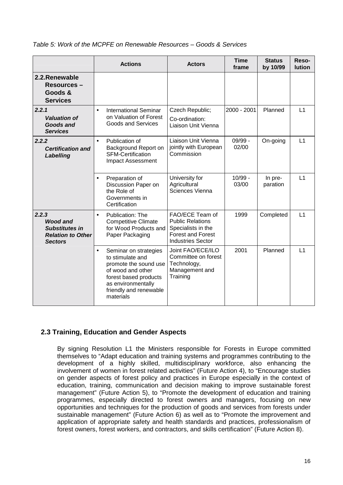<span id="page-26-0"></span>

| Table 5: Work of the MCPFE on Renewable Resources – Goods & Services |
|----------------------------------------------------------------------|
|----------------------------------------------------------------------|

|                                                                                                 | <b>Actions</b>                                                                                                                                                                             | <b>Actors</b>                                                                                                            | <b>Time</b><br>frame | <b>Status</b><br>by 10/99 | Reso-<br><b>lution</b> |
|-------------------------------------------------------------------------------------------------|--------------------------------------------------------------------------------------------------------------------------------------------------------------------------------------------|--------------------------------------------------------------------------------------------------------------------------|----------------------|---------------------------|------------------------|
| 2.2. Renewable<br><b>Resources –</b><br>Goods &<br><b>Services</b>                              |                                                                                                                                                                                            |                                                                                                                          |                      |                           |                        |
| 2.2.1<br><b>Valuation of</b><br><b>Goods and</b><br><b>Services</b>                             | <b>International Seminar</b><br>$\bullet$<br>on Valuation of Forest<br><b>Goods and Services</b>                                                                                           | Czech Republic;<br>Co-ordination:<br>Liaison Unit Vienna                                                                 | 2000 - 2001          | Planned                   | L1                     |
| 2.2.2<br><b>Certification and</b><br>Labelling                                                  | Publication of<br>$\bullet$<br>Background Report on<br><b>SFM-Certification</b><br>Impact Assessment                                                                                       | Liaison Unit Vienna<br>jointly with European<br>Commission                                                               | 09/99 -<br>02/00     | On-going                  | L1                     |
|                                                                                                 | Preparation of<br>$\bullet$<br>Discussion Paper on<br>the Role of<br>Governments in<br>Certification                                                                                       | University for<br>Agricultural<br>Sciences Vienna                                                                        | $10/99 -$<br>03/00   | In pre-<br>paration       | L1                     |
| 2.2.3<br><b>Wood and</b><br><b>Substitutes in</b><br><b>Relation to Other</b><br><b>Sectors</b> | Publication: The<br>$\bullet$<br><b>Competitive Climate</b><br>for Wood Products and<br>Paper Packaging                                                                                    | FAO/ECE Team of<br><b>Public Relations</b><br>Specialists in the<br><b>Forest and Forest</b><br><b>Industries Sector</b> | 1999                 | Completed                 | L1                     |
|                                                                                                 | Seminar on strategies<br>$\bullet$<br>to stimulate and<br>promote the sound use<br>of wood and other<br>forest based products<br>as environmentally<br>friendly and renewable<br>materials | Joint FAO/ECE/ILO<br>Committee on forest<br>Technology,<br>Management and<br>Training                                    | 2001                 | Planned                   | L1                     |

### **2.3 Training, Education and Gender Aspects**

By signing Resolution L1 the Ministers responsible for Forests in Europe committed themselves to "Adapt education and training systems and programmes contributing to the development of a highly skilled, multidisciplinary workforce, also enhancing the involvement of women in forest related activities" (Future Action 4), to "Encourage studies on gender aspects of forest policy and practices in Europe especially in the context of education, training, communication and decision making to improve sustainable forest management" (Future Action 5), to "Promote the development of education and training programmes, especially directed to forest owners and managers, focusing on new opportunities and techniques for the production of goods and services from forests under sustainable management" (Future Action 6) as well as to "Promote the improvement and application of appropriate safety and health standards and practices, professionalism of forest owners, forest workers, and contractors, and skills certification" (Future Action 8).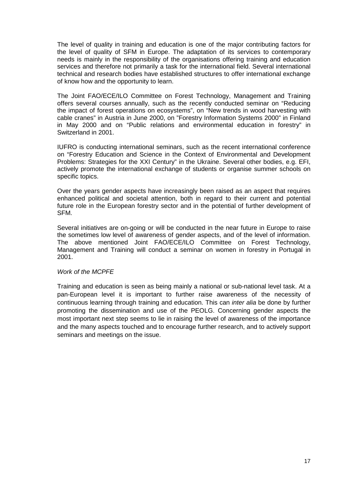The level of quality in training and education is one of the major contributing factors for the level of quality of SFM in Europe. The adaptation of its services to contemporary needs is mainly in the responsibility of the organisations offering training and education services and therefore not primarily a task for the international field. Several international technical and research bodies have established structures to offer international exchange of know how and the opportunity to learn.

The Joint FAO/ECE/ILO Committee on Forest Technology, Management and Training offers several courses annually, such as the recently conducted seminar on "Reducing the impact of forest operations on ecosystems", on "New trends in wood harvesting with cable cranes" in Austria in June 2000, on "Forestry Information Systems 2000" in Finland in May 2000 and on "Public relations and environmental education in forestry" in Switzerland in 2001.

IUFRO is conducting international seminars, such as the recent international conference on "Forestry Education and Science in the Context of Environmental and Development Problems: Strategies for the XXI Century" in the Ukraine. Several other bodies, e.g. EFI, actively promote the international exchange of students or organise summer schools on specific topics.

Over the years gender aspects have increasingly been raised as an aspect that requires enhanced political and societal attention, both in regard to their current and potential future role in the European forestry sector and in the potential of further development of SFM.

Several initiatives are on-going or will be conducted in the near future in Europe to raise the sometimes low level of awareness of gender aspects, and of the level of information. The above mentioned Joint FAO/ECE/ILO Committee on Forest Technology, Management and Training will conduct a seminar on women in forestry in Portugal in 2001.

#### *Work of the MCPFE*

Training and education is seen as being mainly a national or sub-national level task. At a pan-European level it is important to further raise awareness of the necessity of continuous learning through training and education. This can *inter alia* be done by further promoting the dissemination and use of the PEOLG. Concerning gender aspects the most important next step seems to lie in raising the level of awareness of the importance and the many aspects touched and to encourage further research, and to actively support seminars and meetings on the issue.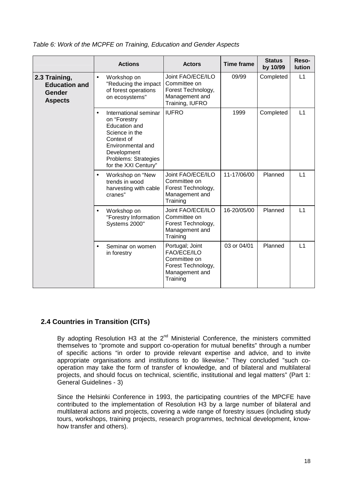|                                                                          | <b>Actions</b>                                                                                                                                                                                 | <b>Actors</b>                                                                                      | <b>Time frame</b> | <b>Status</b><br>by 10/99 | Reso-<br><b>lution</b> |
|--------------------------------------------------------------------------|------------------------------------------------------------------------------------------------------------------------------------------------------------------------------------------------|----------------------------------------------------------------------------------------------------|-------------------|---------------------------|------------------------|
| 2.3 Training,<br><b>Education and</b><br><b>Gender</b><br><b>Aspects</b> | Workshop on<br>$\bullet$<br>"Reducing the impact<br>of forest operations<br>on ecosystems"                                                                                                     | Joint FAO/ECE/ILO<br>Committee on<br>Forest Technology,<br>Management and<br>Training, IUFRO       | 09/99             | Completed                 | L1                     |
|                                                                          | International seminar<br>$\bullet$<br>on "Forestry<br><b>Education and</b><br>Science in the<br>Context of<br>Environmental and<br>Development<br>Problems: Strategies<br>for the XXI Century" | <b>IUFRO</b>                                                                                       | 1999              | Completed                 | L1                     |
|                                                                          | Workshop on "New<br>$\bullet$<br>trends in wood<br>harvesting with cable<br>cranes"                                                                                                            | Joint FAO/ECE/ILO<br>Committee on<br>Forest Technology,<br>Management and<br>Training              | 11-17/06/00       | Planned                   | L1                     |
|                                                                          | Workshop on<br>$\bullet$<br>"Forestry Information<br>Systems 2000"                                                                                                                             | Joint FAO/ECE/ILO<br>Committee on<br>Forest Technology,<br>Management and<br>Training              | 16-20/05/00       | Planned                   | L1                     |
|                                                                          | Seminar on women<br>$\bullet$<br>in forestry                                                                                                                                                   | Portugal; Joint<br>FAO/ECE/ILO<br>Committee on<br>Forest Technology,<br>Management and<br>Training | 03 or 04/01       | Planned                   | L1                     |

<span id="page-28-0"></span>*Table 6: Work of the MCPFE on Training, Education and Gender Aspects* 

### **2.4 Countries in Transition (CITs)**

By adopting Resolution H3 at the  $2^{nd}$  Ministerial Conference, the ministers committed themselves to "promote and support co-operation for mutual benefits" through a number of specific actions "in order to provide relevant expertise and advice, and to invite appropriate organisations and institutions to do likewise." They concluded "such cooperation may take the form of transfer of knowledge, and of bilateral and multilateral projects, and should focus on technical, scientific, institutional and legal matters" (Part 1: General Guidelines - 3)

Since the Helsinki Conference in 1993, the participating countries of the MPCFE have contributed to the implementation of Resolution H3 by a large number of bilateral and multilateral actions and projects, covering a wide range of forestry issues (including study tours, workshops, training projects, research programmes, technical development, knowhow transfer and others).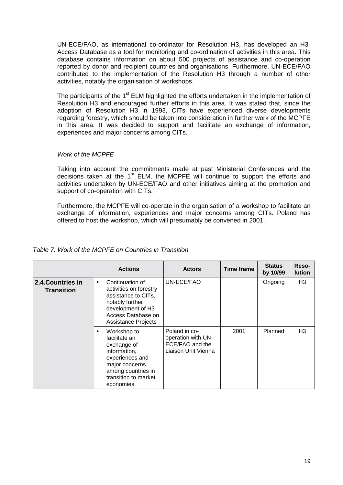UN-ECE/FAO, as international co-ordinator for Resolution H3, has developed an H3- Access Database as a tool for monitoring and co-ordination of activities in this area. This database contains information on about 500 projects of assistance and co-operation reported by donor and recipient countries and organisations. Furthermore, UN-ECE/FAO contributed to the implementation of the Resolution H3 through a number of other activities, notably the organisation of workshops.

The participants of the  $1<sup>st</sup>$  ELM highlighted the efforts undertaken in the implementation of Resolution H3 and encouraged further efforts in this area. It was stated that, since the adoption of Resolution H3 in 1993, CITs have experienced diverse developments regarding forestry, which should be taken into consideration in further work of the MCPFE in this area. It was decided to support and facilitate an exchange of information, experiences and major concerns among CITs.

#### *Work of the MCPFE*

Taking into account the commitments made at past Ministerial Conferences and the decisions taken at the  $1<sup>st</sup>$  ELM, the MCPFE will continue to support the efforts and activities undertaken by UN-ECE/FAO and other initiatives aiming at the promotion and support of co-operation with CITs.

Furthermore, the MCPFE will co-operate in the organisation of a workshop to facilitate an exchange of information, experiences and major concerns among CITs. Poland has offered to host the workshop, which will presumably be convened in 2001.

#### *Table 7: Work of the MCPFE on Countries in Transition*

|                                        | <b>Actions</b>                                                                                                                                                            | <b>Actors</b>                                                                 | Time frame | <b>Status</b><br>by 10/99 | Reso-<br><b>lution</b> |
|----------------------------------------|---------------------------------------------------------------------------------------------------------------------------------------------------------------------------|-------------------------------------------------------------------------------|------------|---------------------------|------------------------|
| 2.4. Countries in<br><b>Transition</b> | Continuation of<br>$\bullet$<br>activities on forestry<br>assistance to CITs,<br>notably further<br>development of H3<br>Access Database on<br><b>Assistance Projects</b> | UN-ECE/FAO                                                                    |            | Ongoing                   | H <sub>3</sub>         |
|                                        | Workshop to<br>$\bullet$<br>facilitate an<br>exchange of<br>information,<br>experiences and<br>major concerns<br>among countries in<br>transition to market<br>economies  | Poland in co-<br>operation with UN-<br>ECE/FAO and the<br>Liaison Unit Vienna | 2001       | Planned                   | H3                     |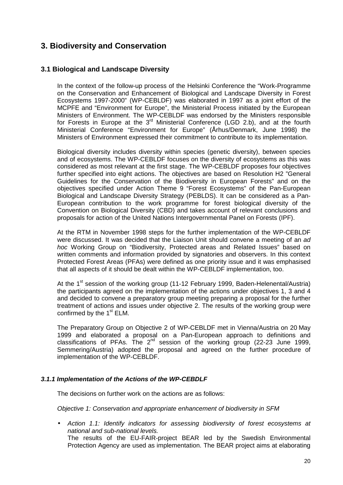# <span id="page-30-0"></span>**3. Biodiversity and Conservation**

### **3.1 Biological and Landscape Diversity**

In the context of the follow-up process of the Helsinki Conference the "Work-Programme on the Conservation and Enhancement of Biological and Landscape Diversity in Forest Ecosystems 1997-2000" (WP-CEBLDF) was elaborated in 1997 as a joint effort of the MCPFE and "Environment for Europe", the Ministerial Process initiated by the European Ministers of Environment. The WP-CEBLDF was endorsed by the Ministers responsible for Forests in Europe at the  $3^{rd}$  Ministerial Conference (LGD 2.b), and at the fourth Ministerial Conference "Environment for Europe" (Århus/Denmark, June 1998) the Ministers of Environment expressed their commitment to contribute to its implementation.

Biological diversity includes diversity within species (genetic diversity), between species and of ecosystems. The WP-CEBLDF focuses on the diversity of ecosystems as this was considered as most relevant at the first stage. The WP-CEBLDF proposes four objectives further specified into eight actions. The objectives are based on Resolution H2 "General Guidelines for the Conservation of the Biodiversity in European Forests" and on the objectives specified under Action Theme 9 "Forest Ecosystems" of the Pan-European Biological and Landscape Diversity Strategy (PEBLDS). It can be considered as a Pan-European contribution to the work programme for forest biological diversity of the Convention on Biological Diversity (CBD) and takes account of relevant conclusions and proposals for action of the United Nations Intergovernmental Panel on Forests (IPF).

At the RTM in November 1998 steps for the further implementation of the WP-CEBLDF were discussed. It was decided that the Liaison Unit should convene a meeting of an *ad hoc* Working Group on "Biodiversity, Protected areas and Related Issues" based on written comments and information provided by signatories and observers. In this context Protected Forest Areas (PFAs) were defined as one priority issue and it was emphasised that all aspects of it should be dealt within the WP-CEBLDF implementation, too.

At the 1<sup>st</sup> session of the working group (11-12 February 1999, Baden-Helenental/Austria) the participants agreed on the implementation of the actions under objectives 1, 3 and 4 and decided to convene a preparatory group meeting preparing a proposal for the further treatment of actions and issues under objective 2. The results of the working group were confirmed by the  $1<sup>st</sup> ELM$ .

The Preparatory Group on Objective 2 of WP-CEBLDF met in Vienna/Austria on 20 May 1999 and elaborated a proposal on a Pan-European approach to definitions and classifications of PFAs. The  $2^{nd}$  session of the working group (22-23 June 1999, Semmering/Austria) adopted the proposal and agreed on the further procedure of implementation of the WP-CEBLDF.

#### *3.1.1 Implementation of the Actions of the WP-CEBDLF*

The decisions on further work on the actions are as follows:

*Objective 1: Conservation and appropriate enhancement of biodiversity in SFM* 

• *Action 1.1: Identify indicators for assessing biodiversity of forest ecosystems at national and sub-national levels.* The results of the EU-FAIR-project BEAR led by the Swedish Environmental Protection Agency are used as implementation. The BEAR project aims at elaborating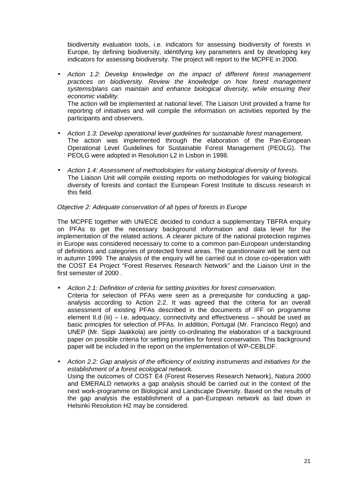biodiversity evaluation tools, i.e. indicators for assessing biodiversity of forests in Europe, by defining biodiversity, identifying key parameters and by developing key indicators for assessing biodiversity. The project will report to the MCPFE in 2000.

- *Action 1.2: Develop knowledge on the impact of different forest management practices on biodiversity. Review the knowledge on how forest management systems/plans can maintain and enhance biological diversity, while ensuring their economic viability.* The action will be implemented at national level. The Liaison Unit provided a frame for reporting of initiatives and will compile the information on activities reported by the participants and observers.
- *Action 1.3: Develop operational level guidelines for sustainable forest management.* The action was implemented through the elaboration of the Pan-European Operational Level Guidelines for Sustainable Forest Management (PEOLG). The PEOLG were adopted in Resolution L2 in Lisbon in 1998.
- *Action 1.4: Assessment of methodologies for valuing biological diversity of forests.* The Liaison Unit will compile existing reports on methodologies for valuing biological diversity of forests and contact the European Forest Institute to discuss research in this field.

#### *Objective 2: Adequate conservation of all types of forests in Europe*

The MCPFE together with UN/ECE decided to conduct a supplementary TBFRA enquiry on PFAs to get the necessary background information and data level for the implementation of the related actions. A clearer picture of the national protection regimes in Europe was considered necessary to come to a common pan-European understanding of definitions and categories of protected forest areas. The questionnaire will be sent out in autumn 1999. The analysis of the enquiry will be carried out in close co-operation with the COST E4 Project "Forest Reserves Research Network" and the Liaison Unit in the first semester of 2000 .

- *Action 2.1: Definition of criteria for setting priorities for forest conservation.*
- Criteria for selection of PFAs were seen as a prerequisite for conducting a gapanalysis according to Action 2.2. It was agreed that the criteria for an overall assessment of existing PFAs described in the documents of IFF on programme element II.d (iii) – i.e. adequacy, connectivity and effectiveness – should be used as basic principles for selection of PFAs. In addition, Portugal (Mr. Francisco Rego) and UNEP (Mr. Sippi Jaakkola) are jointly co-ordinating the elaboration of a background paper on possible criteria for setting priorities for forest conservation. This background paper will be included in the report on the implementation of WP-CEBLDF.
- *Action 2.2: Gap analysis of the efficiency of existing instruments and initiatives for the establishment of a forest ecological network.* Using the outcomes of COST E4 (Forest Reserves Research Network), Natura 2000 and EMERALD networks a gap analysis should be carried out in the context of the next work-programme on Biological and Landscape Diversity. Based on the results of the gap analysis the establishment of a pan-European network as laid down in Helsinki Resolution H2 may be considered.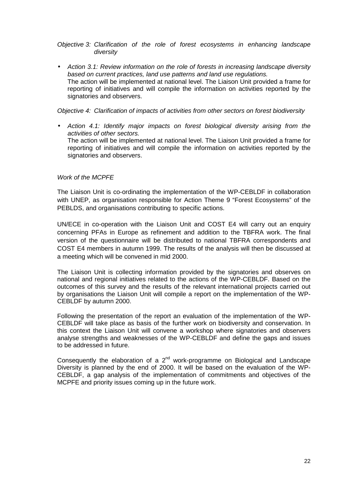*Objective 3: Clarification of the role of forest ecosystems in enhancing landscape diversity* 

• *Action 3.1: Review information on the role of forests in increasing landscape diversity based on current practices, land use patterns and land use regulations.* The action will be implemented at national level. The Liaison Unit provided a frame for reporting of initiatives and will compile the information on activities reported by the signatories and observers.

*Objective 4: Clarification of impacts of activities from other sectors on forest biodiversity* 

• *Action 4.1: Identify major impacts on forest biological diversity arising from the activities of other sectors.*  The action will be implemented at national level. The Liaison Unit provided a frame for reporting of initiatives and will compile the information on activities reported by the signatories and observers.

#### *Work of the MCPFE*

The Liaison Unit is co-ordinating the implementation of the WP-CEBLDF in collaboration with UNEP, as organisation responsible for Action Theme 9 "Forest Ecosystems" of the PEBLDS, and organisations contributing to specific actions.

UN/ECE in co-operation with the Liaison Unit and COST E4 will carry out an enquiry concerning PFAs in Europe as refinement and addition to the TBFRA work. The final version of the questionnaire will be distributed to national TBFRA correspondents and COST E4 members in autumn 1999. The results of the analysis will then be discussed at a meeting which will be convened in mid 2000.

The Liaison Unit is collecting information provided by the signatories and observes on national and regional initiatives related to the actions of the WP-CEBLDF. Based on the outcomes of this survey and the results of the relevant international projects carried out by organisations the Liaison Unit will compile a report on the implementation of the WP-CEBLDF by autumn 2000.

Following the presentation of the report an evaluation of the implementation of the WP-CEBLDF will take place as basis of the further work on biodiversity and conservation. In this context the Liaison Unit will convene a workshop where signatories and observers analyse strengths and weaknesses of the WP-CEBLDF and define the gaps and issues to be addressed in future.

Consequently the elaboration of a  $2^{nd}$  work-programme on Biological and Landscape Diversity is planned by the end of 2000. It will be based on the evaluation of the WP-CEBLDF, a gap analysis of the implementation of commitments and objectives of the MCPFE and priority issues coming up in the future work.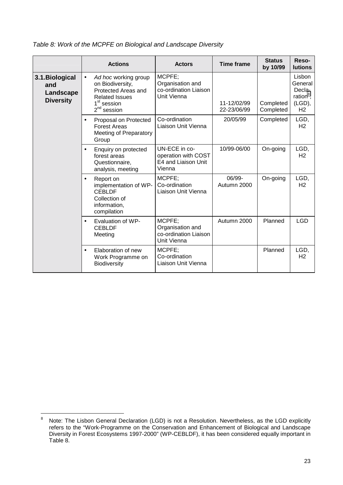|                                                         | <b>Actions</b>                                                                                                                                    | <b>Actors</b>                                                         | <b>Time frame</b>          | <b>Status</b><br>by 10/99 | Reso-<br><b>lutions</b>                                                 |
|---------------------------------------------------------|---------------------------------------------------------------------------------------------------------------------------------------------------|-----------------------------------------------------------------------|----------------------------|---------------------------|-------------------------------------------------------------------------|
| 3.1. Biological<br>and<br>Landscape<br><b>Diversity</b> | Ad hoc working group<br>$\bullet$<br>on Biodiversity,<br>Protected Areas and<br><b>Related Issues</b><br>1 <sup>st</sup> session<br>$2nd$ session | MCPFE;<br>Organisation and<br>co-ordination Liaison<br>Unit Vienna    | 11-12/02/99<br>22-23/06/99 | Completed<br>Completed    | Lisbon<br>General<br>Decla-<br>ration $8$ ,<br>(LGD),<br>H <sub>2</sub> |
|                                                         | Proposal on Protected<br>$\bullet$<br><b>Forest Areas</b><br>Meeting of Preparatory<br>Group                                                      | Co-ordination<br>Liaison Unit Vienna                                  | 20/05/99                   | Completed                 | LGD,<br>H2                                                              |
|                                                         | Enquiry on protected<br>$\bullet$<br>forest areas<br>Questionnaire,<br>analysis, meeting                                                          | UN-ECE in co-<br>operation with COST<br>E4 and Liaison Unit<br>Vienna | 10/99-06/00                | On-going                  | LGD,<br>H <sub>2</sub>                                                  |
|                                                         | Report on<br>$\bullet$<br>implementation of WP-<br><b>CEBLDF</b><br>Collection of<br>information,<br>compilation                                  | MCPFE;<br>Co-ordination<br>Liaison Unit Vienna                        | 06/99-<br>Autumn 2000      | On-going                  | LGD,<br>H <sub>2</sub>                                                  |
|                                                         | Evaluation of WP-<br>$\bullet$<br><b>CEBLDF</b><br>Meeting                                                                                        | MCPFE;<br>Organisation and<br>co-ordination Liaison<br>Unit Vienna    | Autumn 2000                | Planned                   | <b>LGD</b>                                                              |
|                                                         | Elaboration of new<br>$\bullet$<br>Work Programme on<br><b>Biodiversity</b>                                                                       | MCPFE;<br>Co-ordination<br>Liaison Unit Vienna                        |                            | Planned                   | LGD,<br>H <sub>2</sub>                                                  |

*Table 8: Work of the MCPFE on Biological and Landscape Diversity* 

<sup>-&</sup>lt;br>8 Note: The Lisbon General Declaration (LGD) is not a Resolution. Nevertheless, as the LGD explicitly refers to the "Work-Programme on the Conservation and Enhancement of Biological and Landscape Diversity in Forest Ecosystems 1997-2000" (WP-CEBLDF), it has been considered equally important in Table 8.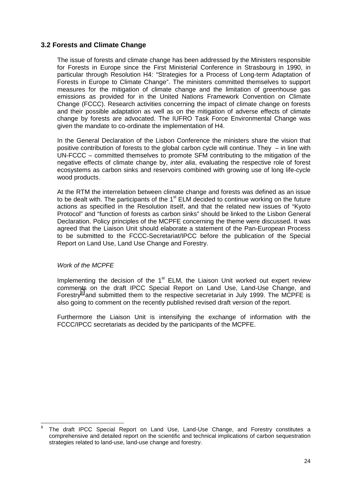#### <span id="page-34-0"></span>**3.2 Forests and Climate Change**

The issue of forests and climate change has been addressed by the Ministers responsible for Forests in Europe since the First Ministerial Conference in Strasbourg in 1990, in particular through Resolution H4: "Strategies for a Process of Long-term Adaptation of Forests in Europe to Climate Change". The ministers committed themselves to support measures for the mitigation of climate change and the limitation of greenhouse gas emissions as provided for in the United Nations Framework Convention on Climate Change (FCCC). Research activities concerning the impact of climate change on forests and their possible adaptation as well as on the mitigation of adverse effects of climate change by forests are advocated. The IUFRO Task Force Environmental Change was given the mandate to co-ordinate the implementation of H4.

In the General Declaration of the Lisbon Conference the ministers share the vision that positive contribution of forests to the global carbon cycle will continue. They – in line with UN-FCCC – committed themselves to promote SFM contributing to the mitigation of the negative effects of climate change by, *inter alia*, evaluating the respective role of forest ecosystems as carbon sinks and reservoirs combined with growing use of long life-cycle wood products.

At the RTM the interrelation between climate change and forests was defined as an issue to be dealt with. The participants of the  $1<sup>st</sup>$  ELM decided to continue working on the future actions as specified in the Resolution itself, and that the related new issues of "Kyoto Protocol" and "function of forests as carbon sinks" should be linked to the Lisbon General Declaration. Policy principles of the MCPFE concerning the theme were discussed. It was agreed that the Liaison Unit should elaborate a statement of the Pan-European Process to be submitted to the FCCC-Secretariat/IPCC before the publication of the Special Report on Land Use, Land Use Change and Forestry.

#### *Work of the MCPFE*

Implementing the decision of the  $1<sup>st</sup>$  ELM, the Liaison Unit worked out expert review comments on the draft IPCC Special Report on Land Use, Land-Use Change, and Forestry $9$  and submitted them to the respective secretariat in July 1999. The MCPFE is also going to comment on the recently published revised draft version of the report.

Furthermore the Liaison Unit is intensifying the exchange of information with the FCCC/IPCC secretariats as decided by the participants of the MCPFE.

 $\overline{a}$ 9 The draft IPCC Special Report on Land Use, Land-Use Change, and Forestry constitutes a comprehensive and detailed report on the scientific and technical implications of carbon sequestration strategies related to land-use, land-use change and forestry.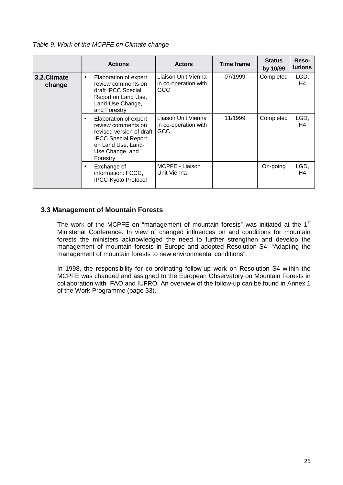*Table 9: Work of the MCPFE on Climate change* 

|                       | <b>Actions</b>                                                                                                                                                          | <b>Actors</b>                                             | Time frame | <b>Status</b><br>by 10/99 | Reso-<br><b>lutions</b> |
|-----------------------|-------------------------------------------------------------------------------------------------------------------------------------------------------------------------|-----------------------------------------------------------|------------|---------------------------|-------------------------|
| 3.2.Climate<br>change | Elaboration of expert<br>$\bullet$<br>review comments on<br>draft IPCC Special<br>Report on Land Use,<br>Land-Use Change,<br>and Forestry                               | Liaison Unit Vienna<br>in co-operation with<br>GCC.       | 07/1999    | Completed                 | LGD,<br>H4              |
|                       | Elaboration of expert<br>$\bullet$<br>review comments on<br>revised version of draft<br><b>IPCC Special Report</b><br>on Land Use, Land-<br>Use Change, and<br>Forestry | Liaison Unit Vienna<br>in co-operation with<br><b>GCC</b> | 11/1999    | Completed                 | LGD,<br>H4              |
|                       | Exchange of<br>٠<br>information: FCCC,<br><b>IPCC-Kyoto Protocol</b>                                                                                                    | MCPFE - Liaison<br>Unit Vienna                            |            | On-going                  | LGD,<br>H4              |

#### **3.3 Management of Mountain Forests**

The work of the MCPFE on "management of mountain forests" was initiated at the 1<sup>st</sup> Ministerial Conference. In view of changed influences on and conditions for mountain forests the ministers acknowledged the need to further strengthen and develop the management of mountain forests in Europe and adopted Resolution S4: "Adapting the management of mountain forests to new environmental conditions".

In 1998, the responsibility for co-ordinating follow-up work on Resolution S4 within the MCPFE was changed and assigned to the European Observatory on Mountain Forests in collaboration with FAO and IUFRO. An overview of the follow-up can be found in Annex 1 of the Work Programme (page 33).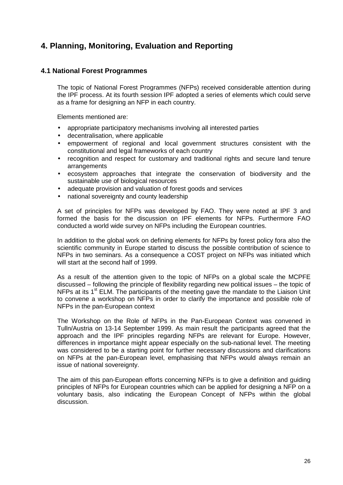# <span id="page-36-0"></span>**4. Planning, Monitoring, Evaluation and Reporting**

#### **4.1 National Forest Programmes**

The topic of National Forest Programmes (NFPs) received considerable attention during the IPF process. At its fourth session IPF adopted a series of elements which could serve as a frame for designing an NFP in each country.

Elements mentioned are:

- appropriate participatory mechanisms involving all interested parties
- decentralisation, where applicable
- empowerment of regional and local government structures consistent with the constitutional and legal frameworks of each country
- recognition and respect for customary and traditional rights and secure land tenure arrangements
- ecosystem approaches that integrate the conservation of biodiversity and the sustainable use of biological resources
- adequate provision and valuation of forest goods and services
- national sovereignty and county leadership

A set of principles for NFPs was developed by FAO. They were noted at IPF 3 and formed the basis for the discussion on IPF elements for NFPs. Furthermore FAO conducted a world wide survey on NFPs including the European countries.

In addition to the global work on defining elements for NFPs by forest policy fora also the scientific community in Europe started to discuss the possible contribution of science to NFPs in two seminars. As a consequence a COST project on NFPs was initiated which will start at the second half of 1999.

As a result of the attention given to the topic of NFPs on a global scale the MCPFE discussed – following the principle of flexibility regarding new political issues – the topic of NFPs at its 1<sup>st</sup> ELM. The participants of the meeting gave the mandate to the Liaison Unit to convene a workshop on NFPs in order to clarify the importance and possible role of NFPs in the pan-European context

The Workshop on the Role of NFPs in the Pan-European Context was convened in Tulln/Austria on 13-14 September 1999. As main result the participants agreed that the approach and the IPF principles regarding NFPs are relevant for Europe. However, differences in importance might appear especially on the sub-national level. The meeting was considered to be a starting point for further necessary discussions and clarifications on NFPs at the pan-European level, emphasising that NFPs would always remain an issue of national sovereignty.

The aim of this pan-European efforts concerning NFPs is to give a definition and guiding principles of NFPs for European countries which can be applied for designing a NFP on a voluntary basis, also indicating the European Concept of NFPs within the global discussion.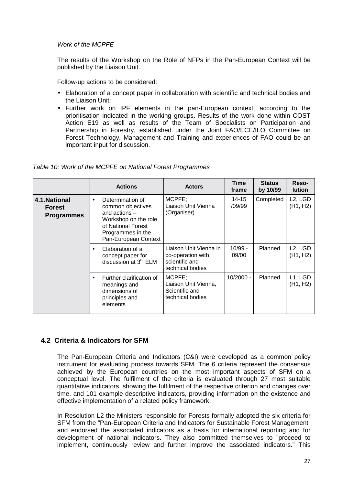<span id="page-37-0"></span>*Work of the MCPFE* 

The results of the Workshop on the Role of NFPs in the Pan-European Context will be published by the Liaison Unit.

Follow-up actions to be considered:

- Elaboration of a concept paper in collaboration with scientific and technical bodies and the Liaison Unit;
- Further work on IPF elements in the pan-European context, according to the prioritisation indicated in the working groups. Results of the work done within COST Action E19 as well as results of the Team of Specialists on Participation and Partnership in Forestry, established under the Joint FAO/ECE/ILO Committee on Forest Technology, Management and Training and experiences of FAO could be an important input for discussion.

|  | Table 10: Work of the MCPFE on National Forest Programmes |  |
|--|-----------------------------------------------------------|--|
|  |                                                           |  |

|                                                     | <b>Actions</b>                                                                                                                                                   | <b>Actors</b>                                                                     | <b>Time</b><br>frame | <b>Status</b><br>by 10/99 | Reso-<br><b>Iution</b>                        |
|-----------------------------------------------------|------------------------------------------------------------------------------------------------------------------------------------------------------------------|-----------------------------------------------------------------------------------|----------------------|---------------------------|-----------------------------------------------|
| 4.1. National<br><b>Forest</b><br><b>Programmes</b> | Determination of<br>$\bullet$<br>common objectives<br>and actions $-$<br>Workshop on the role<br>of National Forest<br>Programmes in the<br>Pan-European Context | MCPFE;<br>Liaison Unit Vienna<br>(Organiser)                                      | 14-15<br>/09/99      | Completed                 | L <sub>2</sub> , L <sub>G</sub> D<br>(H1, H2) |
|                                                     | Elaboration of a<br>concept paper for<br>discussion at 3 <sup>rd</sup> ELM                                                                                       | Liaison Unit Vienna in<br>co-operation with<br>scientific and<br>technical bodies | $10/99 -$<br>09/00   | Planned                   | L <sub>2</sub> , L <sub>G</sub> D<br>(H1, H2) |
|                                                     | Further clarification of<br>meanings and<br>dimensions of<br>principles and<br>elements                                                                          | MCPFE;<br>Liaison Unit Vienna,<br>Scientific and<br>technical bodies              | $10/2000 -$          | Planned                   | L1, LGD<br>(H1, H2)                           |

#### **4.2 Criteria & Indicators for SFM**

The Pan-European Criteria and Indicators (C&I) were developed as a common policy instrument for evaluating process towards SFM. The 6 criteria represent the consensus achieved by the European countries on the most important aspects of SFM on a conceptual level. The fulfilment of the criteria is evaluated through 27 most suitable quantitative indicators, showing the fulfilment of the respective criterion and changes over time, and 101 example descriptive indicators, providing information on the existence and effective implementation of a related policy framework.

In Resolution L2 the Ministers responsible for Forests formally adopted the six criteria for SFM from the "Pan-European Criteria and Indicators for Sustainable Forest Management" and endorsed the associated indicators as a basis for international reporting and for development of national indicators. They also committed themselves to "proceed to implement, continuously review and further improve the associated indicators." This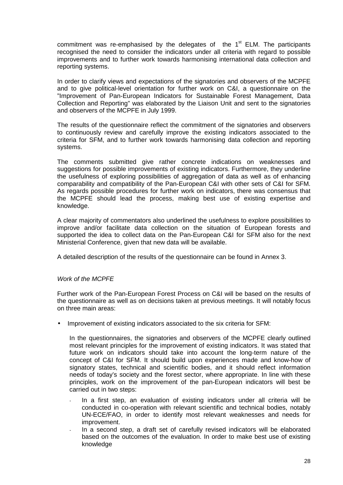commitment was re-emphasised by the delegates of the  $1<sup>st</sup>$  ELM. The participants recognised the need to consider the indicators under all criteria with regard to possible improvements and to further work towards harmonising international data collection and reporting systems.

In order to clarify views and expectations of the signatories and observers of the MCPFE and to give political-level orientation for further work on C&I, a questionnaire on the "Improvement of Pan-European Indicators for Sustainable Forest Management, Data Collection and Reporting" was elaborated by the Liaison Unit and sent to the signatories and observers of the MCPFE in July 1999.

The results of the questionnaire reflect the commitment of the signatories and observers to continuously review and carefully improve the existing indicators associated to the criteria for SFM, and to further work towards harmonising data collection and reporting systems.

The comments submitted give rather concrete indications on weaknesses and suggestions for possible improvements of existing indicators. Furthermore, they underline the usefulness of exploring possibilities of aggregation of data as well as of enhancing comparability and compatibility of the Pan-European C&I with other sets of C&I for SFM. As regards possible procedures for further work on indicators, there was consensus that the MCPFE should lead the process, making best use of existing expertise and knowledge.

A clear majority of commentators also underlined the usefulness to explore possibilities to improve and/or facilitate data collection on the situation of European forests and supported the idea to collect data on the Pan-European C&I for SFM also for the next Ministerial Conference, given that new data will be available.

A detailed description of the results of the questionnaire can be found in Annex 3.

#### *Work of the MCPFE*

Further work of the Pan-European Forest Process on C&I will be based on the results of the questionnaire as well as on decisions taken at previous meetings. It will notably focus on three main areas:

Improvement of existing indicators associated to the six criteria for SFM:

In the questionnaires, the signatories and observers of the MCPFE clearly outlined most relevant principles for the improvement of existing indicators. It was stated that future work on indicators should take into account the long-term nature of the concept of C&I for SFM. It should build upon experiences made and know-how of signatory states, technical and scientific bodies, and it should reflect information needs of today's society and the forest sector, where appropriate. In line with these principles, work on the improvement of the pan-European indicators will best be carried out in two steps:

- In a first step, an evaluation of existing indicators under all criteria will be conducted in co-operation with relevant scientific and technical bodies, notably UN-ECE/FAO, in order to identify most relevant weaknesses and needs for improvement.
- In a second step, a draft set of carefully revised indicators will be elaborated based on the outcomes of the evaluation. In order to make best use of existing knowledge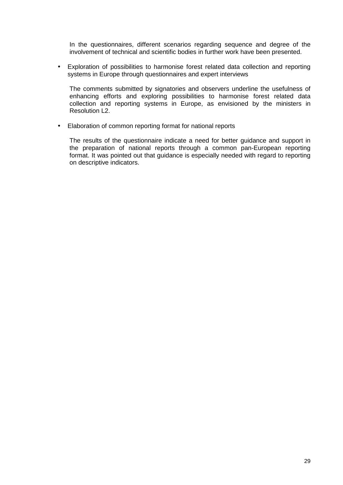In the questionnaires, different scenarios regarding sequence and degree of the involvement of technical and scientific bodies in further work have been presented.

• Exploration of possibilities to harmonise forest related data collection and reporting systems in Europe through questionnaires and expert interviews

The comments submitted by signatories and observers underline the usefulness of enhancing efforts and exploring possibilities to harmonise forest related data collection and reporting systems in Europe, as envisioned by the ministers in Resolution L2.

• Elaboration of common reporting format for national reports

The results of the questionnaire indicate a need for better guidance and support in the preparation of national reports through a common pan-European reporting format. It was pointed out that guidance is especially needed with regard to reporting on descriptive indicators.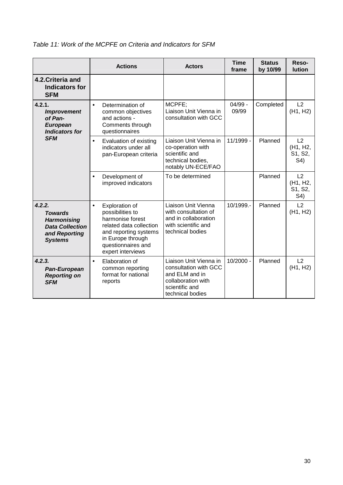|  |  |  | Table 11: Work of the MCPFE on Criteria and Indicators for SFM |
|--|--|--|----------------------------------------------------------------|
|--|--|--|----------------------------------------------------------------|

|                                                                                                             | <b>Actions</b>                                                                                                                                                                          | <b>Actors</b>                                                                                                                 | <b>Time</b><br>frame | <b>Status</b><br>by 10/99 | Reso-<br><b>lution</b>           |
|-------------------------------------------------------------------------------------------------------------|-----------------------------------------------------------------------------------------------------------------------------------------------------------------------------------------|-------------------------------------------------------------------------------------------------------------------------------|----------------------|---------------------------|----------------------------------|
| 4.2. Criteria and<br><b>Indicators for</b><br><b>SFM</b>                                                    |                                                                                                                                                                                         |                                                                                                                               |                      |                           |                                  |
| 4.2.1.<br><i><b>Improvement</b></i><br>of Pan-<br><b>European</b><br><b>Indicators for</b><br><b>SFM</b>    | Determination of<br>$\bullet$<br>common objectives<br>and actions -<br>Comments through<br>questionnaires                                                                               | MCPFE;<br>Liaison Unit Vienna in<br>consultation with GCC                                                                     | $04/99 -$<br>09/99   | Completed                 | L2<br>(H1, H2)                   |
|                                                                                                             | Evaluation of existing<br>$\bullet$<br>indicators under all<br>pan-European criteria                                                                                                    | Liaison Unit Vienna in<br>co-operation with<br>scientific and<br>technical bodies,<br>notably UN-ECE/FAO                      | 11/1999 -            | Planned                   | L2<br>(H1, H2,<br>S1, S2,<br>S4) |
|                                                                                                             | Development of<br>$\bullet$<br>improved indicators                                                                                                                                      | To be determined                                                                                                              |                      | Planned                   | L2<br>(H1, H2,<br>S1, S2,<br>S4) |
| 4.2.2.<br><b>Towards</b><br><b>Harmonising</b><br><b>Data Collection</b><br>and Reporting<br><b>Systems</b> | Exploration of<br>$\bullet$<br>possibilities to<br>harmonise forest<br>related data collection<br>and reporting systems<br>in Europe through<br>questionnaires and<br>expert interviews | Liaison Unit Vienna<br>with consultation of<br>and in collaboration<br>with scientific and<br>technical bodies                | 10/1999.-            | Planned                   | L2<br>(H1, H2)                   |
| 4.2.3.<br>Pan-European<br><b>Reporting on</b><br><b>SFM</b>                                                 | Elaboration of<br>$\bullet$<br>common reporting<br>format for national<br>reports                                                                                                       | Liaison Unit Vienna in<br>consultation with GCC<br>and ELM and in<br>collaboration with<br>scientific and<br>technical bodies | $10/2000 -$          | Planned                   | L2<br>(H1, H2)                   |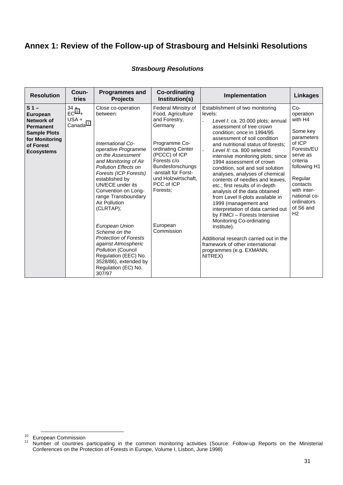# <span id="page-41-0"></span>**Annex 1: Review of the Follow-up of Strasbourg and Helsinki Resolutions**

#### *Strasbourg Resolutions*

| <b>Resolution</b>                                                                                                                              | Coun-<br>tries                                           | <b>Programmes and</b><br><b>Projects</b>                                                                                                                                                                                                                                                                                                                                                                                                                                                                    | <b>Co-ordinating</b><br>Institution(s)                                                                                                                                                                                                                                  | Implementation                                                                                                                                                                                                                                                                                                                                                                                                                                                                                                                                                                                                                                                                                                                                                                                                 | <b>Linkages</b>                                                                                                                                                                                                            |
|------------------------------------------------------------------------------------------------------------------------------------------------|----------------------------------------------------------|-------------------------------------------------------------------------------------------------------------------------------------------------------------------------------------------------------------------------------------------------------------------------------------------------------------------------------------------------------------------------------------------------------------------------------------------------------------------------------------------------------------|-------------------------------------------------------------------------------------------------------------------------------------------------------------------------------------------------------------------------------------------------------------------------|----------------------------------------------------------------------------------------------------------------------------------------------------------------------------------------------------------------------------------------------------------------------------------------------------------------------------------------------------------------------------------------------------------------------------------------------------------------------------------------------------------------------------------------------------------------------------------------------------------------------------------------------------------------------------------------------------------------------------------------------------------------------------------------------------------------|----------------------------------------------------------------------------------------------------------------------------------------------------------------------------------------------------------------------------|
| S <sub>1</sub><br><b>European</b><br>Network of<br><b>Permanent</b><br><b>Sample Plots</b><br>for Monitoring<br>of Forest<br><b>Ecosystems</b> | $34 +$<br>$EC^{10}$ +<br>$USA +$<br>Canada <sup>11</sup> | Close co-operation<br>between:<br>International Co-<br>operative Programme<br>on the Assessment<br>and Monitoring of Air<br><b>Pollution Effects on</b><br>Forests (ICP Forests)<br>established by<br><b>UN/ECE under its</b><br>Convention on Long-<br>range Transboundary<br>Air Pollution<br>(CLRTAP);<br>European Union<br>Scheme on the<br><b>Protection of Forests</b><br>against Atmospheric<br>Pollution (Council<br>Regulation (EEC) No.<br>3528/86), extended by<br>Regulation (EC) No.<br>307/97 | Federal Ministry of<br>Food, Agriculture<br>and Forestry,<br>Germany<br>Programme Co-<br>ordinating Center<br>(PCCC) of ICP<br>Forests c/o<br><b>Bundesforschungs</b><br>-anstalt für Forst-<br>und Holzwirtschaft,<br>PCC of ICP<br>Forests:<br>European<br>Commission | Establishment of two monitoring<br>levels:<br>Level I: ca. 20.000 plots; annual<br>assessment of tree crown<br>condition; once in 1994/95<br>assessment of soil condition<br>and nutritional status of forests;<br>Level II: ca. 800 selected<br>$\mathbf{r}$<br>intensive monitoring plots; since<br>1994 assessment of crown<br>condition, soil and soil solution<br>analyses, analyses of chemical<br>contents of needles and leaves.<br>etc.; first results of in-depth<br>analysis of the data obtained<br>from Level II-plots available in<br>1999 (management and<br>interpretation of data carried out<br>by FIMCI - Forests Intensive<br>Monitoring Co-ordinating<br>Institute).<br>Additional research carried out in the<br>framework of other international<br>programmes (e.g. EXMANN,<br>NITREX) | $Co-$<br>operation<br>with H4<br>Some key<br>parameters<br>of ICP<br>Forests/EU<br>serve as<br>criteria<br>following H1<br>Regular<br>contacts<br>with inter-<br>national co-<br>ordinators<br>of S6 and<br>H <sub>2</sub> |

<sup>&</sup>lt;sup>10</sup> European Commission<br><sup>11</sup> Number of countries participating in the common monitoring activities (Source: Follow-up Reports on the Ministerial Conferences on the Protection of Forests in Europe, Volume I, Lisbon, June 1998)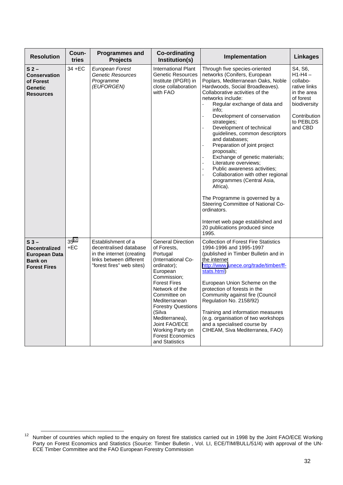| <b>Resolution</b>                                                                                | Coun-<br>tries     | <b>Programmes and</b><br><b>Projects</b>                                                                                          | <b>Co-ordinating</b><br>Institution(s)                                                                                                                                                                                                                                                                                                   | Implementation                                                                                                                                                                                                                                                                                                                                                                                                                                                                                                                                                                                                                                                                                                                                                                                                                                    | <b>Linkages</b>                                                                                                                     |
|--------------------------------------------------------------------------------------------------|--------------------|-----------------------------------------------------------------------------------------------------------------------------------|------------------------------------------------------------------------------------------------------------------------------------------------------------------------------------------------------------------------------------------------------------------------------------------------------------------------------------------|---------------------------------------------------------------------------------------------------------------------------------------------------------------------------------------------------------------------------------------------------------------------------------------------------------------------------------------------------------------------------------------------------------------------------------------------------------------------------------------------------------------------------------------------------------------------------------------------------------------------------------------------------------------------------------------------------------------------------------------------------------------------------------------------------------------------------------------------------|-------------------------------------------------------------------------------------------------------------------------------------|
| S <sub>2</sub><br><b>Conservation</b><br>of Forest<br><b>Genetic</b><br><b>Resources</b>         | 34 + EC            | European Forest<br>Genetic Resources<br>Programme<br>(EUFORGEN)                                                                   | <b>International Plant</b><br><b>Genetic Resources</b><br>Institute (IPGRI) in<br>close collaboration<br>with FAO                                                                                                                                                                                                                        | Through five species-oriented<br>networks (Conifers, European<br>Poplars, Mediterranean Oaks, Noble<br>Hardwoods, Social Broadleaves).<br>Collaborative activities of the<br>networks include:<br>$\overline{a}$<br>Regular exchange of data and<br>info:<br>Development of conservation<br>$\overline{a}$<br>strategies;<br>Development of technical<br>guidelines, common descriptors<br>and databases:<br>Preparation of joint project<br>$\overline{a}$<br>proposals;<br>Exchange of genetic materials;<br>Literature overviews;<br>$\ddot{\phantom{a}}$<br>Public awareness activities;<br>Collaboration with other regional<br>programmes (Central Asia,<br>Africa).<br>The Programme is governed by a<br>Steering Committee of National Co-<br>ordinators.<br>Internet web page established and<br>20 publications produced since<br>1995. | S4, S6,<br>$H1-H4-$<br>collabo-<br>rative links<br>in the area<br>of forest<br>biodiversity<br>Contribution<br>to PEBLDS<br>and CBD |
| $S_3 -$<br><b>Decentralized</b><br><b>European Data</b><br><b>Bank on</b><br><b>Forest Fires</b> | $35^{12}$<br>$+EC$ | Establishment of a<br>decentralised database<br>in the internet (creating<br>links between different<br>"forest fires" web sites) | <b>General Direction</b><br>of Forests,<br>Portugal<br>(International Co-<br>ordinator);<br>European<br>Commission;<br><b>Forest Fires</b><br>Network of the<br>Committee on<br>Mediterranean<br><b>Forestry Questions</b><br>(Silva<br>Mediterranea),<br>Joint FAO/ECE<br>Working Party on<br><b>Forest Economics</b><br>and Statistics | <b>Collection of Forest Fire Statistics</b><br>1994-1996 and 1995-1997<br>(published in Timber Bulletin and in<br>the internet<br>http://www.unece.org/trade/timber/ff-<br>stats.html)<br>European Union Scheme on the<br>protection of forests in the<br>Community against fire (Council<br>Regulation No. 2158/92)<br>Training and information measures<br>(e.g. organisation of two workshops<br>and a specialised course by<br>CIHEAM, Siva Mediterranea, FAO)                                                                                                                                                                                                                                                                                                                                                                                |                                                                                                                                     |

<sup>12</sup> Number of countries which replied to the enquiry on forest fire statistics carried out in 1998 by the Joint FAO/ECE Working Party on Forest Economics and Statistics (Source: Timber Bulletin , Vol. LI, ECE/TIM/BULL/51/4) with approval of the UN-ECE Timber Committee and the FAO European Forestry Commission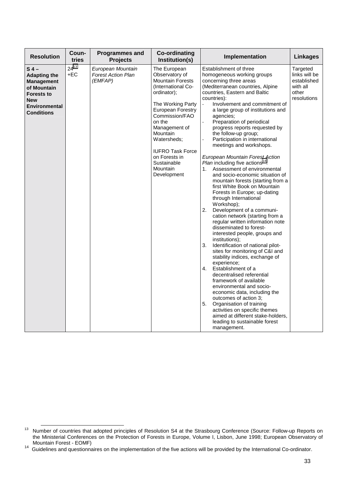| <b>Resolution</b>                                                                                                                                  | Coun-<br>tries   | <b>Programmes and</b><br><b>Projects</b>                  | <b>Co-ordinating</b><br>Institution(s)                                                                                                                                                                                                                                                                        | Implementation                                                                                                                                                                                                                                                                                                                                                                                                                                                                                                                                                                                                                                                                                                                                                                                                                                                                                                                                                                                                                                                                                                                                                                                                                                                                                                                                                        | <b>Linkages</b>                                                              |
|----------------------------------------------------------------------------------------------------------------------------------------------------|------------------|-----------------------------------------------------------|---------------------------------------------------------------------------------------------------------------------------------------------------------------------------------------------------------------------------------------------------------------------------------------------------------------|-----------------------------------------------------------------------------------------------------------------------------------------------------------------------------------------------------------------------------------------------------------------------------------------------------------------------------------------------------------------------------------------------------------------------------------------------------------------------------------------------------------------------------------------------------------------------------------------------------------------------------------------------------------------------------------------------------------------------------------------------------------------------------------------------------------------------------------------------------------------------------------------------------------------------------------------------------------------------------------------------------------------------------------------------------------------------------------------------------------------------------------------------------------------------------------------------------------------------------------------------------------------------------------------------------------------------------------------------------------------------|------------------------------------------------------------------------------|
| $S_4$ –<br><b>Adapting the</b><br><b>Management</b><br>of Mountain<br><b>Forests to</b><br><b>New</b><br><b>Environmental</b><br><b>Conditions</b> | $24^{13}$<br>+EC | European Mountain<br><b>Forest Action Plan</b><br>(EMFAP) | The European<br>Observatory of<br><b>Mountain Forests</b><br>(International Co-<br>ordinator);<br>The Working Party<br><b>European Forestry</b><br>Commission/FAO<br>on the<br>Management of<br>Mountain<br>Watersheds:<br><b>IUFRO Task Force</b><br>on Forests in<br>Sustainable<br>Mountain<br>Development | Establishment of three<br>homogeneous working groups<br>concerning three areas<br>(Mediterranean countries, Alpine<br>countries, Eastern and Baltic<br>countries):<br>Involvement and commitment of<br>a large group of institutions and<br>agencies;<br>Preparation of periodical<br>progress reports requested by<br>the follow-up group;<br>Participation in international<br>meetings and workshops.<br>European Mountain Forest Action<br>Plan including five actions <sup>14</sup> :<br>Assessment of environmental<br>1.<br>and socio-economic situation of<br>mountain forests (starting from a<br>first White Book on Mountain<br>Forests in Europe; up-dating<br>through International<br>Workshop);<br>2.<br>Development of a communi-<br>cation network (starting from a<br>regular written information note<br>disseminated to forest-<br>interested people, groups and<br>institutions);<br>3.<br>Identification of national pilot-<br>sites for monitoring of C&I and<br>stability indices, exchange of<br>experience;<br>4.<br>Establishment of a<br>decentralised referential<br>framework of available<br>environmental and socio-<br>economic data, including the<br>outcomes of action 3;<br>5.<br>Organisation of training<br>activities on specific themes<br>aimed at different stake-holders,<br>leading to sustainable forest<br>management. | Targeted<br>links will be<br>established<br>with all<br>other<br>resolutions |

<sup>13</sup> Number of countries that adopted principles of Resolution S4 at the Strasbourg Conference (Source: Follow-up Reports on the Ministerial Conferences on the Protection of Forests in Europe, Volume I, Lisbon, June 1998; European Observatory of

Mountain Forest - EOMF)<br><sup>14</sup> Guidelines and questionnaires on the implementation of the five actions will be provided by the International Co-ordinator.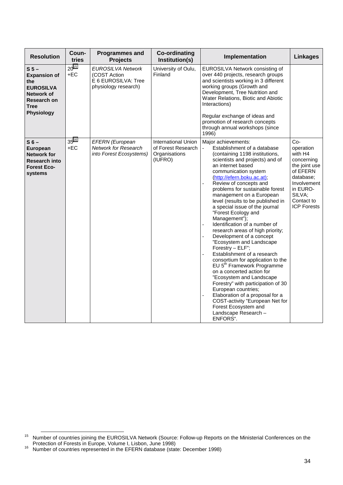| <b>Resolution</b>                                                                                                                        | Coun-<br>tries     | <b>Programmes and</b><br><b>Projects</b>                                                | <b>Co-ordinating</b><br>Institution(s)                                       | Implementation                                                                                                                                                                                                                                                                                                                                                                                                                                                                                                                                                                                                                                                                                                                                                                                                                                                                                                                                      | <b>Linkages</b>                                                                                                                                              |
|------------------------------------------------------------------------------------------------------------------------------------------|--------------------|-----------------------------------------------------------------------------------------|------------------------------------------------------------------------------|-----------------------------------------------------------------------------------------------------------------------------------------------------------------------------------------------------------------------------------------------------------------------------------------------------------------------------------------------------------------------------------------------------------------------------------------------------------------------------------------------------------------------------------------------------------------------------------------------------------------------------------------------------------------------------------------------------------------------------------------------------------------------------------------------------------------------------------------------------------------------------------------------------------------------------------------------------|--------------------------------------------------------------------------------------------------------------------------------------------------------------|
| S <sub>5</sub><br><b>Expansion of</b><br>the<br><b>EUROSILVA</b><br><b>Network of</b><br>Research on<br><b>Tree</b><br><b>Physiology</b> | $20^{15}$<br>$+EC$ | <b>EUROSILVA Network</b><br>(COST Action<br>E 6 EUROSILVA: Tree<br>physiology research) | University of Oulu,<br>Finland                                               | EUROSILVA Network consisting of<br>over 440 projects, research groups<br>and scientists working in 3 different<br>working groups (Growth and<br>Development, Tree Nutrition and<br>Water Relations, Biotic and Abiotic<br>Interactions)<br>Regular exchange of ideas and<br>promotion of research concepts<br>through annual workshops (since<br>1996)                                                                                                                                                                                                                                                                                                                                                                                                                                                                                                                                                                                              |                                                                                                                                                              |
| $S6-$<br>European<br><b>Network for</b><br><b>Research into</b><br><b>Forest Eco-</b><br>systems                                         | $35^{16}$<br>$+EC$ | EFERN (European<br><b>Network for Research</b><br>into Forest Ecosystems)               | <b>International Union</b><br>of Forest Research<br>Organisations<br>(IUFRO) | Major achievements:<br>Establishment of a database<br>(containing 1198 institutions,<br>scientists and projects) and of<br>an internet based<br>communication system<br>(http://efern.boku.ac.at);<br>Review of concepts and<br>problems for sustainable forest<br>management on a European<br>level (results to be published in<br>a special issue of the journal<br>"Forest Ecology and<br>Management");<br>Identification of a number of<br>$\overline{a}$<br>research areas of high priority;<br>Development of a concept<br>"Ecosystem and Landscape<br>Forestry - ELF";<br>Establishment of a research<br>consortium for application to the<br>EU 5 <sup>th</sup> Framework Programme<br>on a concerted action for<br>"Ecosystem and Landscape<br>Forestry" with participation of 30<br>European countries;<br>Elaboration of a proposal for a<br>COST-activity "European Net for<br>Forest Ecosystem and<br>Landscape Research -<br>ENFORS". | Co-<br>operation<br>with H4<br>concerning<br>the joint use<br>of EFERN<br>database;<br>Involvement<br>in EURO-<br>SILVA;<br>Contact to<br><b>ICP Forests</b> |

<sup>15</sup> Number of countries joining the EUROSILVA Network (Source: Follow-up Reports on the Ministerial Conferences on the

Protection of Forests in Europe, Volume I, Lisbon, June 1998)<br><sup>16</sup> Number of countries represented in the EFERN database (state: December 1998)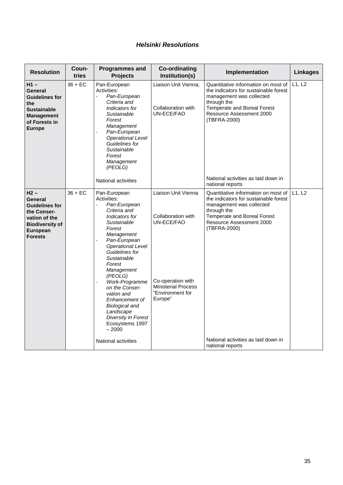#### *Helsinki Resolutions*

| <b>Resolution</b>                                                                                                                  | Coun-<br>tries | <b>Programmes and</b><br><b>Projects</b>                                                                                                                                                                                                                                                                                                                                                                              | <b>Co-ordinating</b><br>Institution(s)                                                                                                    | Implementation                                                                                                                                                                                                                            | <b>Linkages</b> |
|------------------------------------------------------------------------------------------------------------------------------------|----------------|-----------------------------------------------------------------------------------------------------------------------------------------------------------------------------------------------------------------------------------------------------------------------------------------------------------------------------------------------------------------------------------------------------------------------|-------------------------------------------------------------------------------------------------------------------------------------------|-------------------------------------------------------------------------------------------------------------------------------------------------------------------------------------------------------------------------------------------|-----------------|
| $H1 -$<br>General<br><b>Guidelines for</b><br>the<br><b>Sustainable</b><br><b>Management</b><br>of Forests in<br><b>Europe</b>     | 36 + EC        | Pan-European<br>Activities:<br>Pan-European<br>$\overline{a}$<br>Criteria and<br>Indicators for<br>Sustainable<br>Forest<br>Management<br>Pan-European<br><b>Operational Level</b><br>Guidelines for<br>Sustainable<br>Forest<br>Management<br>(PEOLG)                                                                                                                                                                | Liaison Unit Vienna:<br>Collaboration with<br>UN-ECE/FAO                                                                                  | Quantitative information on most of<br>the indicators for sustainable forest<br>management was collected<br>through the<br>Temperate and Boreal Forest<br>Resource Assessment 2000<br>(TBFRA-2000)<br>National activities as laid down in | L1, L2          |
|                                                                                                                                    |                | <b>National activities</b>                                                                                                                                                                                                                                                                                                                                                                                            |                                                                                                                                           | national reports                                                                                                                                                                                                                          |                 |
| $H2 -$<br>General<br><b>Guidelines for</b><br>the Conser-<br>vation of the<br><b>Biodiversity of</b><br>European<br><b>Forests</b> | $36 + EC$      | Pan-European<br>Activities:<br>Pan-European<br>$\overline{a}$<br>Criteria and<br>Indicators for<br>Sustainable<br>Forest<br>Management<br>Pan-European<br><b>Operational Level</b><br>Guidelines for<br>Sustainable<br>Forest<br>Management<br>(PEOLG)<br>Work-Programme<br>on the Conser-<br>vation and<br>Enhancement of<br><b>Biological and</b><br>Landscape<br>Diversity in Forest<br>Ecosystems 1997<br>$-2000$ | Liaison Unit Vienna<br>Collaboration with<br>UN-ECE/FAO<br>Co-operation with<br><b>Ministerial Process</b><br>"Environment for<br>Europe" | Quantitative information on most of<br>the indicators for sustainable forest<br>management was collected<br>through the<br>Temperate and Boreal Forest<br>Resource Assessment 2000<br>(TBFRA-2000)<br>National activities as laid down in | L1, L2          |
|                                                                                                                                    |                | <b>National activities</b>                                                                                                                                                                                                                                                                                                                                                                                            |                                                                                                                                           | national reports                                                                                                                                                                                                                          |                 |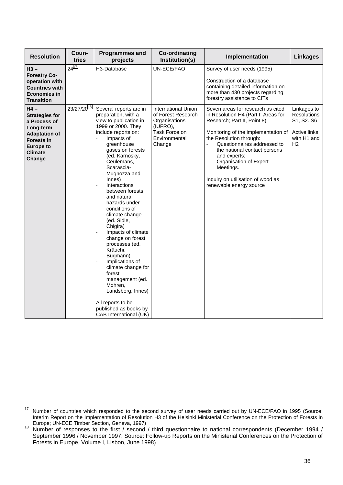| <b>Resolution</b>                                                                                                                               | Coun-<br>tries          | <b>Programmes and</b><br>projects                                                                                                                                                                                                                                                                                                                                                                                                                                                                                                                                                                                     | <b>Co-ordinating</b><br>Institution(s)                                                      | Implementation                                                                                                                                                                                                                                                                                                                               | <b>Linkages</b>                                                       |
|-------------------------------------------------------------------------------------------------------------------------------------------------|-------------------------|-----------------------------------------------------------------------------------------------------------------------------------------------------------------------------------------------------------------------------------------------------------------------------------------------------------------------------------------------------------------------------------------------------------------------------------------------------------------------------------------------------------------------------------------------------------------------------------------------------------------------|---------------------------------------------------------------------------------------------|----------------------------------------------------------------------------------------------------------------------------------------------------------------------------------------------------------------------------------------------------------------------------------------------------------------------------------------------|-----------------------------------------------------------------------|
| $H3 -$<br><b>Forestry Co-</b><br>operation with<br><b>Countries with</b><br><b>Economies in</b><br><b>Transition</b><br>$H4 -$                  | $24^{17}$<br>23/27/2018 | H3-Database<br>Several reports are in                                                                                                                                                                                                                                                                                                                                                                                                                                                                                                                                                                                 | UN-ECE/FAO<br><b>International Union</b>                                                    | Survey of user needs (1995)<br>Construction of a database<br>containing detailed information on<br>more than 430 projects regarding<br>forestry assistance to CITs<br>Seven areas for research as cited                                                                                                                                      | Linkages to                                                           |
| <b>Strategies for</b><br>a Process of<br>Long-term<br><b>Adaptation of</b><br><b>Forests in</b><br><b>Europe to</b><br><b>Climate</b><br>Change |                         | preparation, with a<br>view to publication in<br>1999 or 2000. They<br>include reports on:<br>Impacts of<br>greenhouse<br>gases on forests<br>(ed. Karnosky,<br>Ceulemans,<br>Scarascia-<br>Mugnozza and<br>Innes)<br>Interactions<br>between forests<br>and natural<br>hazards under<br>conditions of<br>climate change<br>(ed. Sidle,<br>Chigira)<br>Impacts of climate<br>change on forest<br>processes (ed.<br>Kräuchi,<br>Bugmann)<br>Implications of<br>climate change for<br>forest<br>management (ed.<br>Mohren,<br>Landsberg, Innes)<br>All reports to be<br>published as books by<br>CAB International (UK) | of Forest Research<br>Organisations<br>(IUFRO),<br>Task Force on<br>Environmental<br>Change | in Resolution H4 (Part I: Areas for<br>Research; Part II, Point 8)<br>Monitoring of the implementation of<br>the Resolution through:<br>Questionnaires addressed to<br>$\overline{a}$<br>the national contact persons<br>and experts;<br>Organisation of Expert<br>Meetings.<br>Inquiry on utilisation of wood as<br>renewable energy source | <b>Resolutions</b><br>S1, S2. S6<br>Active links<br>with H1 and<br>H2 |

<sup>17</sup> Number of countries which responded to the second survey of user needs carried out by UN-ECE/FAO in 1995 (Source: Interim Report on the Implementation of Resolution H3 of the Helsinki Ministerial Conference on the Protection of Forests in Europe; UN-ECE Timber Section, Geneva, 1997)<br><sup>18</sup> Number of responses to the first / second / third questionnaire to national correspondents (December 1994 /

September 1996 / November 1997; Source: Follow-up Reports on the Ministerial Conferences on the Protection of Forests in Europe, Volume I, Lisbon, June 1998)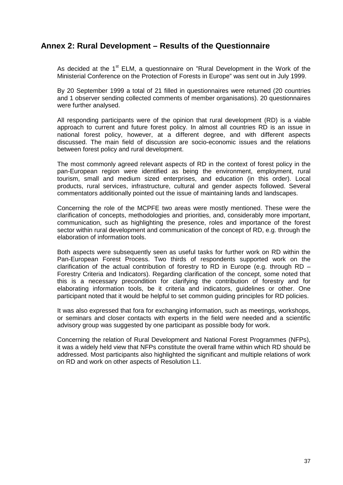### <span id="page-47-0"></span>**Annex 2: Rural Development – Results of the Questionnaire**

As decided at the 1<sup>st</sup> ELM, a questionnaire on "Rural Development in the Work of the Ministerial Conference on the Protection of Forests in Europe" was sent out in July 1999.

By 20 September 1999 a total of 21 filled in questionnaires were returned (20 countries and 1 observer sending collected comments of member organisations). 20 questionnaires were further analysed.

All responding participants were of the opinion that rural development (RD) is a viable approach to current and future forest policy. In almost all countries RD is an issue in national forest policy, however, at a different degree, and with different aspects discussed. The main field of discussion are socio-economic issues and the relations between forest policy and rural development.

The most commonly agreed relevant aspects of RD in the context of forest policy in the pan-European region were identified as being the environment, employment, rural tourism, small and medium sized enterprises, and education (in this order). Local products, rural services, infrastructure, cultural and gender aspects followed. Several commentators additionally pointed out the issue of maintaining lands and landscapes.

Concerning the role of the MCPFE two areas were mostly mentioned. These were the clarification of concepts, methodologies and priorities, and, considerably more important, communication, such as highlighting the presence, roles and importance of the forest sector within rural development and communication of the concept of RD, e.g. through the elaboration of information tools.

Both aspects were subsequently seen as useful tasks for further work on RD within the Pan-European Forest Process. Two thirds of respondents supported work on the clarification of the actual contribution of forestry to RD in Europe (e.g. through RD  $-$ Forestry Criteria and Indicators). Regarding clarification of the concept, some noted that this is a necessary precondition for clarifying the contribution of forestry and for elaborating information tools, be it criteria and indicators, guidelines or other. One participant noted that it would be helpful to set common guiding principles for RD policies.

It was also expressed that fora for exchanging information, such as meetings, workshops, or seminars and closer contacts with experts in the field were needed and a scientific advisory group was suggested by one participant as possible body for work.

Concerning the relation of Rural Development and National Forest Programmes (NFPs), it was a widely held view that NFPs constitute the overall frame within which RD should be addressed. Most participants also highlighted the significant and multiple relations of work on RD and work on other aspects of Resolution L1.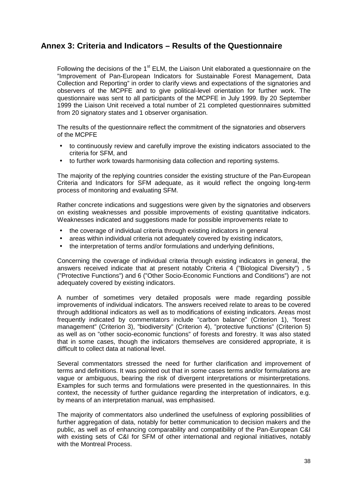### <span id="page-48-0"></span>**Annex 3: Criteria and Indicators – Results of the Questionnaire**

Following the decisions of the  $1<sup>st</sup>$  ELM, the Liaison Unit elaborated a questionnaire on the "Improvement of Pan-European Indicators for Sustainable Forest Management, Data Collection and Reporting" in order to clarify views and expectations of the signatories and observers of the MCPFE and to give political-level orientation for further work. The questionnaire was sent to all participants of the MCPFE in July 1999. By 20 September 1999 the Liaison Unit received a total number of 21 completed questionnaires submitted from 20 signatory states and 1 observer organisation.

The results of the questionnaire reflect the commitment of the signatories and observers of the MCPFE

- to continuously review and carefully improve the existing indicators associated to the criteria for SFM, and
- to further work towards harmonising data collection and reporting systems.

The majority of the replying countries consider the existing structure of the Pan-European Criteria and Indicators for SFM adequate, as it would reflect the ongoing long-term process of monitoring and evaluating SFM.

Rather concrete indications and suggestions were given by the signatories and observers on existing weaknesses and possible improvements of existing quantitative indicators. Weaknesses indicated and suggestions made for possible improvements relate to

- the coverage of individual criteria through existing indicators in general
- areas within individual criteria not adequately covered by existing indicators,
- the interpretation of terms and/or formulations and underlying definitions,

Concerning the coverage of individual criteria through existing indicators in general, the answers received indicate that at present notably Criteria 4 ("Biological Diversity") , 5 ("Protective Functions") and 6 ("Other Socio-Economic Functions and Conditions") are not adequately covered by existing indicators.

A number of sometimes very detailed proposals were made regarding possible improvements of individual indicators. The answers received relate to areas to be covered through additional indicators as well as to modifications of existing indicators. Areas most frequently indicated by commentators include "carbon balance" (Criterion 1), "forest management" (Criterion 3), "biodiversity" (Criterion 4), "protective functions" (Criterion 5) as well as on "other socio-economic functions" of forests and forestry. It was also stated that in some cases, though the indicators themselves are considered appropriate, it is difficult to collect data at national level.

Several commentators stressed the need for further clarification and improvement of terms and definitions. It was pointed out that in some cases terms and/or formulations are vague or ambiguous, bearing the risk of divergent interpretations or misinterpretations. Examples for such terms and formulations were presented in the questionnaires. In this context, the necessity of further guidance regarding the interpretation of indicators, e.g. by means of an interpretation manual, was emphasised.

The majority of commentators also underlined the usefulness of exploring possibilities of further aggregation of data, notably for better communication to decision makers and the public, as well as of enhancing comparability and compatibility of the Pan-European C&I with existing sets of C&I for SFM of other international and regional initiatives, notably with the Montreal Process.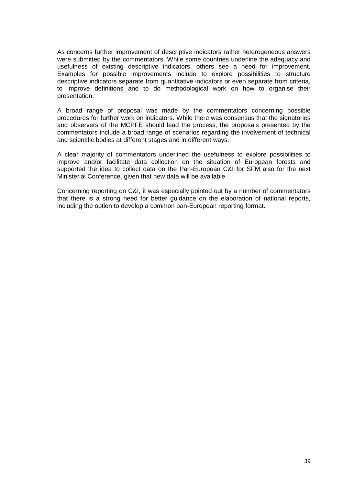As concerns further improvement of descriptive indicators rather heterogeneous answers were submitted by the commentators. While some countries underline the adequacy and usefulness of existing descriptive indicators, others see a need for improvement. Examples for possible improvements include to explore possibilities to structure descriptive indicators separate from quantitative indicators or even separate from criteria, to improve definitions and to do methodological work on how to organise their presentation.

A broad range of proposal was made by the commentators concerning possible procedures for further work on indicators. While there was consensus that the signatories and observers of the MCPFE should lead the process, the proposals presented by the commentators include a broad range of scenarios regarding the involvement of technical and scientific bodies at different stages and in different ways.

A clear majority of commentators underlined the usefulness to explore possibilities to improve and/or facilitate data collection on the situation of European forests and supported the idea to collect data on the Pan-European C&I for SFM also for the next Ministerial Conference, given that new data will be available.

Concerning reporting on C&I, it was especially pointed out by a number of commentators that there is a strong need for better guidance on the elaboration of national reports, including the option to develop a common pan-European reporting format.